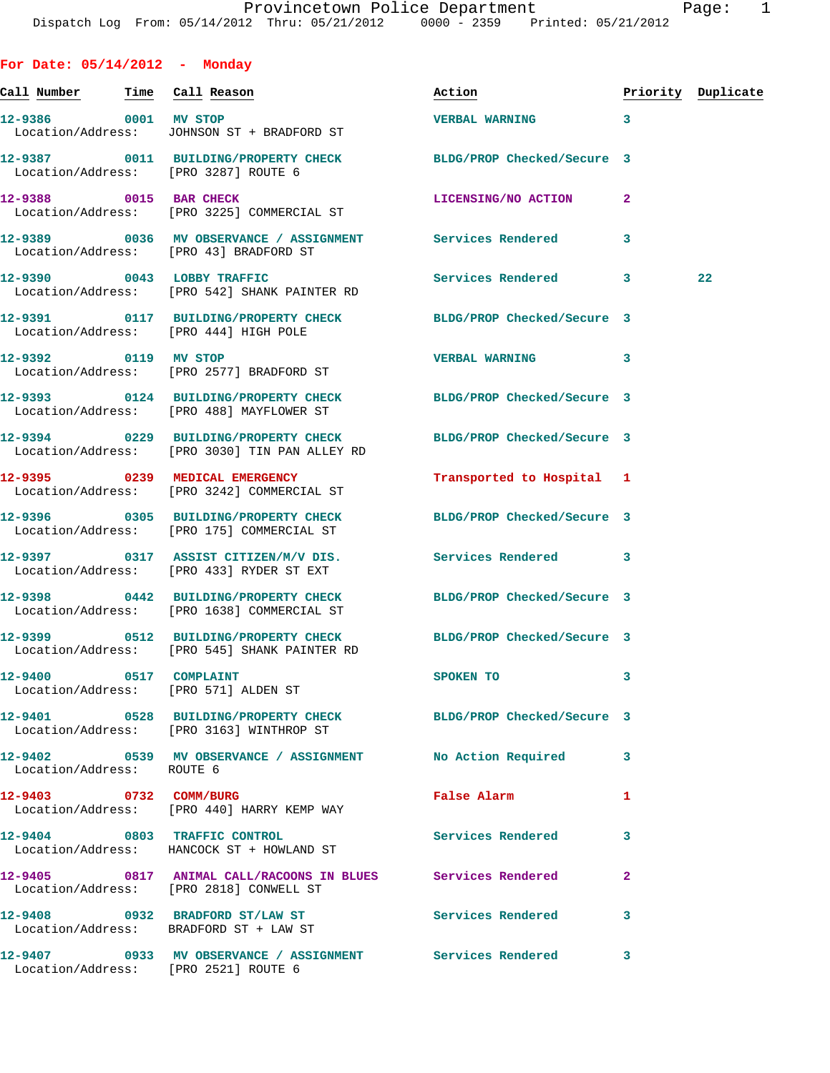**For Date: 05/14/2012 - Monday Call Number Time Call Reason Action Priority Duplicate 12-9386 0001 MV STOP VERBAL WARNING 3**  Location/Address: JOHNSON ST + BRADFORD ST **12-9387 0011 BUILDING/PROPERTY CHECK BLDG/PROP Checked/Secure 3** 

**12-9388 0015 BAR CHECK LICENSING/NO ACTION 2**  Location/Address: [PRO 3225] COMMERCIAL ST

**12-9389 0036 MV OBSERVANCE / ASSIGNMENT Services Rendered 3**  Location/Address: [PRO 43] BRADFORD ST

Location/Address: [PRO 3287] ROUTE 6

**12-9390 0043 LOBBY TRAFFIC Services Rendered 3 22**  Location/Address: [PRO 542] SHANK PAINTER RD

**12-9391 0117 BUILDING/PROPERTY CHECK BLDG/PROP Checked/Secure 3**  Location/Address: [PRO 444] HIGH POLE

**12-9392 0119 MV STOP VERBAL WARNING 3**  Location/Address: [PRO 2577] BRADFORD ST

**12-9393 0124 BUILDING/PROPERTY CHECK BLDG/PROP Checked/Secure 3**  Location/Address: [PRO 488] MAYFLOWER ST

**12-9394 0229 BUILDING/PROPERTY CHECK BLDG/PROP Checked/Secure 3**  Location/Address: [PRO 3030] TIN PAN ALLEY RD

**12-9395 0239 MEDICAL EMERGENCY Transported to Hospital 1**  Location/Address: [PRO 3242] COMMERCIAL ST

**12-9399 0512 BUILDING/PROPERTY CHECK BLDG/PROP Checked/Secure 3**  Location/Address: [PRO 545] SHANK PAINTER RD

**12-9401 0528 BUILDING/PROPERTY CHECK BLDG/PROP Checked/Secure 3** 

Location/Address: [PRO 2818] CONWELL ST

Location/Address: BRADFORD ST + LAW ST

**12-9396 0305 BUILDING/PROPERTY CHECK BLDG/PROP Checked/Secure 3**  Location/Address: [PRO 175] COMMERCIAL ST **12-9397 0317 ASSIST CITIZEN/M/V DIS. Services Rendered 3**  Location/Address: [PRO 433] RYDER ST EXT **12-9398 0442 BUILDING/PROPERTY CHECK BLDG/PROP Checked/Secure 3**  Location/Address: [PRO 1638] COMMERCIAL ST

**12-9400 0517 COMPLAINT SPOKEN TO 3** 

Location/Address: [PRO 571] ALDEN ST

Location/Address: [PRO 3163] WINTHROP ST

**12-9402 0539 MV OBSERVANCE / ASSIGNMENT No Action Required 3**  Location/Address: ROUTE 6

**12-9403 0732 COMM/BURG False Alarm 1**  Location/Address: [PRO 440] HARRY KEMP WAY

**12-9404 0803 TRAFFIC CONTROL Services Rendered 3**  Location/Address: HANCOCK ST + HOWLAND ST

**12-9405 0817 ANIMAL CALL/RACOONS IN BLUES Services Rendered 2** 

12-9408 0932 BRADFORD ST/LAW ST Services Rendered 3

**12-9407 0933 MV OBSERVANCE / ASSIGNMENT Services Rendered 3**  Location/Address: [PRO 2521] ROUTE 6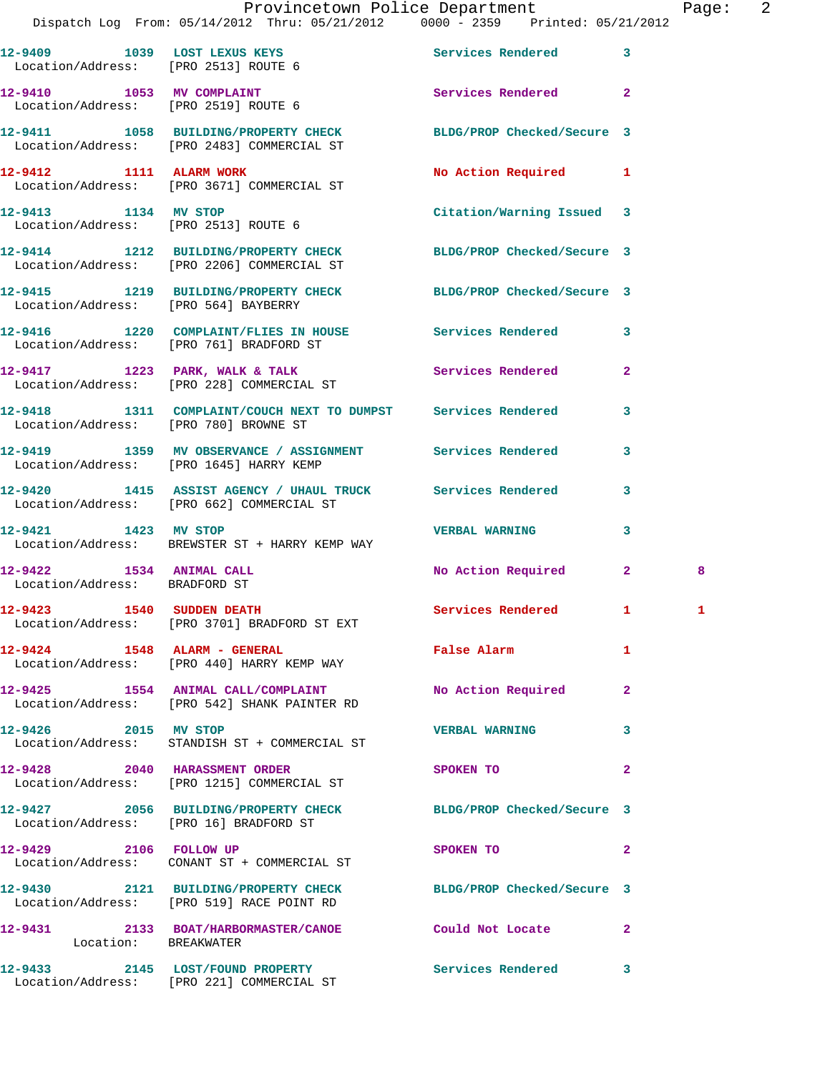|                                       | Provincetown Police Department<br>Dispatch Log From: 05/14/2012 Thru: 05/21/2012 0000 - 2359 Printed: 05/21/2012 |                                             |              | Page: 2 |  |
|---------------------------------------|------------------------------------------------------------------------------------------------------------------|---------------------------------------------|--------------|---------|--|
| Location/Address: [PRO 2513] ROUTE 6  | 12-9409 1039 LOST LEXUS KEYS 12-9409 Services Rendered 3                                                         |                                             |              |         |  |
| Location/Address: [PRO 2519] ROUTE 6  | 12-9410 1053 MV COMPLAINT                                                                                        | Services Rendered 2                         |              |         |  |
|                                       | 12-9411 1058 BUILDING/PROPERTY CHECK BLDG/PROP Checked/Secure 3<br>Location/Address: [PRO 2483] COMMERCIAL ST    |                                             |              |         |  |
|                                       | 12-9412 1111 ALARM WORK<br>Location/Address: [PRO 3671] COMMERCIAL ST                                            | No Action Required 1                        |              |         |  |
| 12-9413 1134 MV STOP                  | Location/Address: [PRO 2513] ROUTE 6                                                                             | Citation/Warning Issued 3                   |              |         |  |
|                                       | 12-9414 1212 BUILDING/PROPERTY CHECK BLDG/PROP Checked/Secure 3<br>Location/Address: [PRO 2206] COMMERCIAL ST    |                                             |              |         |  |
|                                       | 12-9415 1219 BUILDING/PROPERTY CHECK BLDG/PROP Checked/Secure 3<br>Location/Address: [PRO 564] BAYBERRY          |                                             |              |         |  |
|                                       | 12-9416 1220 COMPLAINT/FLIES IN HOUSE Services Rendered 3<br>Location/Address: [PRO 761] BRADFORD ST             |                                             |              |         |  |
|                                       | 12-9417 1223 PARK, WALK & TALK 1988 Services Rendered 2<br>Location/Address: [PRO 228] COMMERCIAL ST             |                                             |              |         |  |
| Location/Address: [PRO 780] BROWNE ST | 12-9418 1311 COMPLAINT/COUCH NEXT TO DUMPST Services Rendered                                                    |                                             | 3            |         |  |
|                                       | 12-9419 1359 MV OBSERVANCE / ASSIGNMENT Services Rendered 3<br>Location/Address: [PRO 1645] HARRY KEMP           |                                             |              |         |  |
|                                       | 12-9420 1415 ASSIST AGENCY / UHAUL TRUCK Services Rendered<br>Location/Address: [PRO 662] COMMERCIAL ST          |                                             | $\mathbf{3}$ |         |  |
| 12-9421 1423 MV STOP                  | Location/Address: BREWSTER ST + HARRY KEMP WAY                                                                   | <b>VERBAL WARNING</b>                       | 3            |         |  |
| Location/Address: BRADFORD ST         | 12-9422 1534 ANIMAL CALL                                                                                         | No Action Required 2                        |              | 8       |  |
| 12-9423 1540 SUDDEN DEATH             | Location/Address: [PRO 3701] BRADFORD ST EXT                                                                     | Services Rendered 1                         |              |         |  |
|                                       | 12-9424 1548 ALARM - GENERAL<br>Location/Address: [PRO 440] HARRY KEMP WAY                                       | False Alarm <b>Exercise Service Service</b> | $\mathbf{1}$ |         |  |
|                                       | 12-9425 1554 ANIMAL CALL/COMPLAINT<br>Location/Address: [PRO 542] SHANK PAINTER RD                               | No Action Required 2                        |              |         |  |
| 12-9426 2015 MV STOP                  | Location/Address: STANDISH ST + COMMERCIAL ST                                                                    | <b>VERBAL WARNING</b>                       | 3            |         |  |
| 12-9428 2040 HARASSMENT ORDER         | Location/Address: [PRO 1215] COMMERCIAL ST                                                                       | SPOKEN TO                                   | $\mathbf{2}$ |         |  |
|                                       | 12-9427 2056 BUILDING/PROPERTY CHECK BLDG/PROP Checked/Secure 3<br>Location/Address: [PRO 16] BRADFORD ST        |                                             |              |         |  |
| 12-9429 2106 FOLLOW UP                | Location/Address: CONANT ST + COMMERCIAL ST                                                                      | SPOKEN TO DESCRIPTION OF REAL PROPERTY.     | $\mathbf{2}$ |         |  |
|                                       | 12-9430 2121 BUILDING/PROPERTY CHECK BLDG/PROP Checked/Secure 3<br>Location/Address: [PRO 519] RACE POINT RD     |                                             |              |         |  |
| Location: BREAKWATER                  | 12-9431 2133 BOAT/HARBORMASTER/CANOE Could Not Locate                                                            |                                             | $\mathbf{2}$ |         |  |
|                                       | 12-9433 2145 LOST/FOUND PROPERTY<br>Location/Address: [PRO 221] COMMERCIAL ST                                    | Services Rendered 3                         |              |         |  |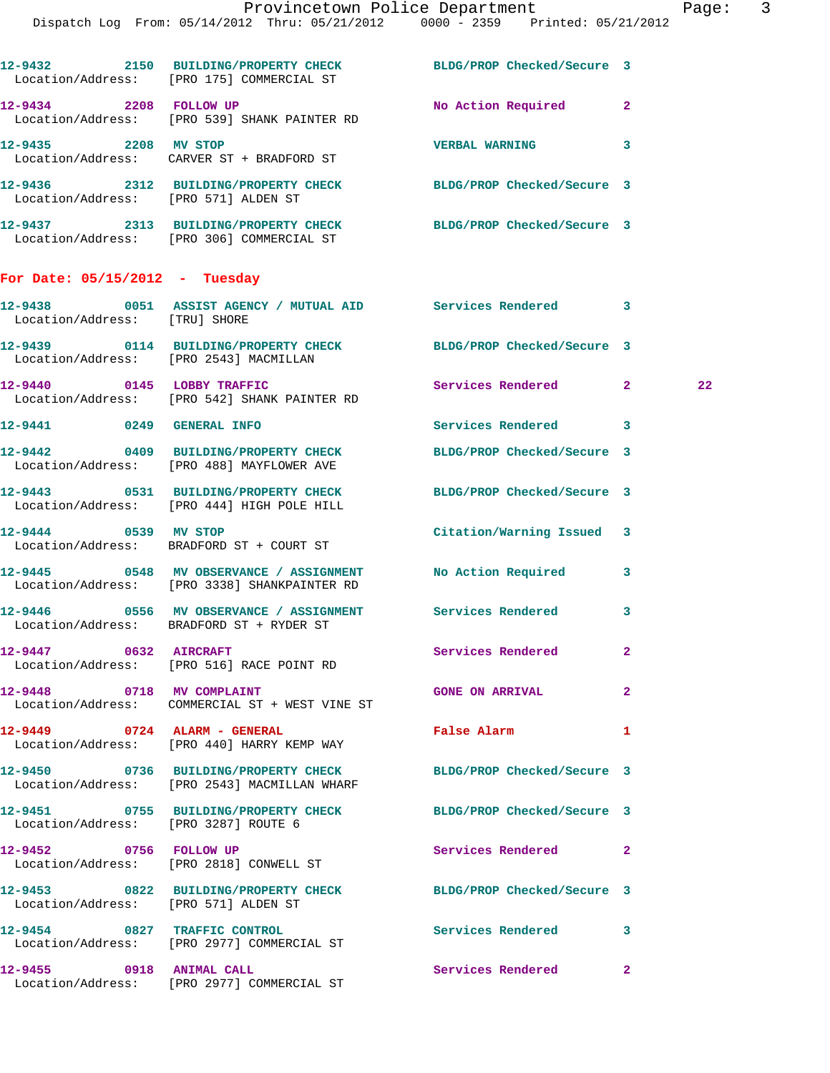|                                  | 12-9432 2150 BUILDING/PROPERTY CHECK BLDG/PROP Checked/Secure 3<br>Location/Address: [PRO 175] COMMERCIAL ST    |                             |              |
|----------------------------------|-----------------------------------------------------------------------------------------------------------------|-----------------------------|--------------|
|                                  | 12-9434 2208 FOLLOW UP<br>Location/Address: [PRO 539] SHANK PAINTER RD                                          | No Action Required 2        |              |
| 12-9435 2208 MV STOP             | Location/Address: CARVER ST + BRADFORD ST                                                                       | VERBAL WARNING 3            |              |
|                                  | 12-9436 2312 BUILDING/PROPERTY CHECK BLDG/PROP Checked/Secure 3<br>Location/Address: [PRO 571] ALDEN ST         |                             |              |
|                                  | 12-9437 2313 BUILDING/PROPERTY CHECK BLDG/PROP Checked/Secure 3<br>Location/Address: [PRO 306] COMMERCIAL ST    |                             |              |
| For Date: $05/15/2012$ - Tuesday |                                                                                                                 |                             |              |
| Location/Address: [TRU] SHORE    | 12-9438 0051 ASSIST AGENCY / MUTUAL AID Services Rendered 3                                                     |                             |              |
|                                  | 12-9439   0114 BUILDING/PROPERTY CHECK BLDG/PROP Checked/Secure 3<br>Location/Address: [PRO 2543] MACMILLAN     |                             |              |
|                                  | 12-9440 0145 LOBBY TRAFFIC<br>Location/Address: [PRO 542] SHANK PAINTER RD                                      | <b>Services Rendered 22</b> | 22           |
| 12-9441 0249 GENERAL INFO        |                                                                                                                 | Services Rendered 3         |              |
|                                  | 12-9442 0409 BUILDING/PROPERTY CHECK<br>Location/Address: [PRO 488] MAYFLOWER AVE                               | BLDG/PROP Checked/Secure 3  |              |
|                                  | 12-9443 0531 BUILDING/PROPERTY CHECK BLDG/PROP Checked/Secure 3<br>Location/Address: [PRO 444] HIGH POLE HILL   |                             |              |
| 12-9444 0539 MV STOP             | Location/Address: BRADFORD ST + COURT ST                                                                        | Citation/Warning Issued 3   |              |
|                                  | 12-9445 0548 MV OBSERVANCE / ASSIGNMENT No Action Required 3<br>Location/Address: [PRO 3338] SHANKPAINTER RD    |                             |              |
|                                  | Location/Address: BRADFORD ST + RYDER ST                                                                        |                             | 3            |
| 12-9447 0632 AIRCRAFT            | Location/Address: [PRO 516] RACE POINT RD                                                                       | Services Rendered           | $\mathbf{2}$ |
| 12-9448 0718 MV COMPLAINT        | Location/Address: COMMERCIAL ST + WEST VINE ST                                                                  | <b>GONE ON ARRIVAL</b>      | $\mathbf{2}$ |
|                                  | 12-9449 0724 ALARM - GENERAL<br>Location/Address: [PRO 440] HARRY KEMP WAY                                      | <b>False Alarm</b>          | 1            |
|                                  | 12-9450 0736 BUILDING/PROPERTY CHECK BLDG/PROP Checked/Secure 3<br>Location/Address: [PRO 2543] MACMILLAN WHARF |                             |              |
|                                  | 12-9451 0755 BUILDING/PROPERTY CHECK BLDG/PROP Checked/Secure 3<br>Location/Address: [PRO 3287] ROUTE 6         |                             |              |
| 12-9452 0756 FOLLOW UP           | Location/Address: [PRO 2818] CONWELL ST                                                                         | Services Rendered 2         |              |
|                                  | 12-9453 0822 BUILDING/PROPERTY CHECK BLDG/PROP Checked/Secure 3<br>Location/Address: [PRO 571] ALDEN ST         |                             |              |
|                                  | 12-9454 0827 TRAFFIC CONTROL<br>Location/Address: [PRO 2977] COMMERCIAL ST                                      | Services Rendered           | 3            |
|                                  | 12-9455 0918 ANIMAL CALL<br>Location/Address: [PRO 2977] COMMERCIAL ST                                          | Services Rendered           | $\mathbf{2}$ |
|                                  |                                                                                                                 |                             |              |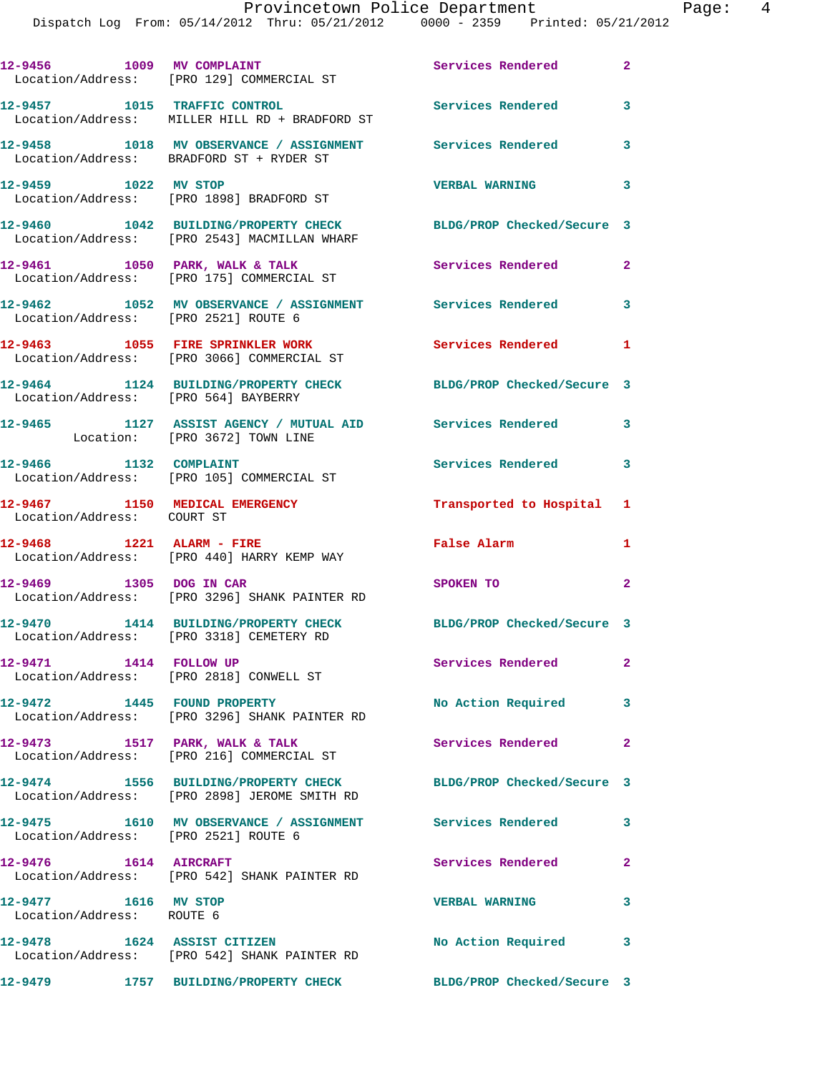|                                                   | 12-9456 1009 MV COMPLAINT <b>12-9456</b> Services Rendered 2<br>Location/Address: [PRO 129] COMMERCIAL ST |                            |              |
|---------------------------------------------------|-----------------------------------------------------------------------------------------------------------|----------------------------|--------------|
|                                                   | 12-9457 1015 TRAFFIC CONTROL<br>Location/Address: MILLER HILL RD + BRADFORD ST                            | Services Rendered          | 3            |
|                                                   | 12-9458 1018 MV OBSERVANCE / ASSIGNMENT Services Rendered<br>Location/Address: BRADFORD ST + RYDER ST     |                            | 3            |
| 12-9459 1022 MV STOP                              | Location/Address: [PRO 1898] BRADFORD ST                                                                  | <b>VERBAL WARNING</b>      | 3            |
|                                                   | 12-9460 1042 BUILDING/PROPERTY CHECK<br>Location/Address: [PRO 2543] MACMILLAN WHARF                      | BLDG/PROP Checked/Secure 3 |              |
|                                                   | 12-9461 1050 PARK, WALK & TALK<br>Location/Address: [PRO 175] COMMERCIAL ST                               | Services Rendered          | $\mathbf{2}$ |
| Location/Address: [PRO 2521] ROUTE 6              | 12-9462 1052 MV OBSERVANCE / ASSIGNMENT Services Rendered 3                                               |                            |              |
|                                                   | 12-9463 1055 FIRE SPRINKLER WORK<br>Location/Address: [PRO 3066] COMMERCIAL ST                            | <b>Services Rendered</b> 1 |              |
| Location/Address: [PRO 564] BAYBERRY              | 12-9464 1124 BUILDING/PROPERTY CHECK BLDG/PROP Checked/Secure 3                                           |                            |              |
|                                                   | 12-9465 1127 ASSIST AGENCY / MUTUAL AID Services Rendered 3<br>Location: [PRO 3672] TOWN LINE             |                            |              |
| 12-9466 1132 COMPLAINT                            | Location/Address: [PRO 105] COMMERCIAL ST                                                                 | Services Rendered 3        |              |
| Location/Address: COURT ST                        | 12-9467 1150 MEDICAL EMERGENCY                                                                            | Transported to Hospital 1  |              |
|                                                   | 12-9468 1221 ALARM - FIRE<br>Location/Address: [PRO 440] HARRY KEMP WAY                                   | False Alarm                | 1            |
| 12-9469 1305 DOG IN CAR                           | Location/Address: [PRO 3296] SHANK PAINTER RD                                                             | SPOKEN TO                  | $\mathbf{2}$ |
|                                                   | 12-9470 1414 BUILDING/PROPERTY CHECK<br>Location/Address: [PRO 3318] CEMETERY RD                          | BLDG/PROP Checked/Secure 3 |              |
| 12-9471 1414 FOLLOW UP                            | Location/Address: [PRO 2818] CONWELL ST                                                                   | Services Rendered          | $\mathbf{2}$ |
|                                                   | 12-9472 1445 FOUND PROPERTY<br>Location/Address: [PRO 3296] SHANK PAINTER RD                              | No Action Required         | 3            |
| 12-9473 1517 PARK, WALK & TALK                    | Location/Address: [PRO 216] COMMERCIAL ST                                                                 | Services Rendered          | $\mathbf{2}$ |
|                                                   | 12-9474 1556 BUILDING/PROPERTY CHECK<br>Location/Address: [PRO 2898] JEROME SMITH RD                      | BLDG/PROP Checked/Secure 3 |              |
| Location/Address: [PRO 2521] ROUTE 6              | 12-9475 1610 MV OBSERVANCE / ASSIGNMENT Services Rendered                                                 |                            | $\mathbf{3}$ |
| $12-9476$ $1614$ AIRCRAFT                         | Location/Address: [PRO 542] SHANK PAINTER RD                                                              | Services Rendered          | $\mathbf{2}$ |
| 12-9477 1616 MV STOP<br>Location/Address: ROUTE 6 |                                                                                                           | <b>VERBAL WARNING</b>      | 3            |
|                                                   | 12-9478 1624 ASSIST CITIZEN<br>Location/Address: [PRO 542] SHANK PAINTER RD                               | No Action Required         | 3            |
|                                                   | 12-9479 1757 BUILDING/PROPERTY CHECK                                                                      | BLDG/PROP Checked/Secure 3 |              |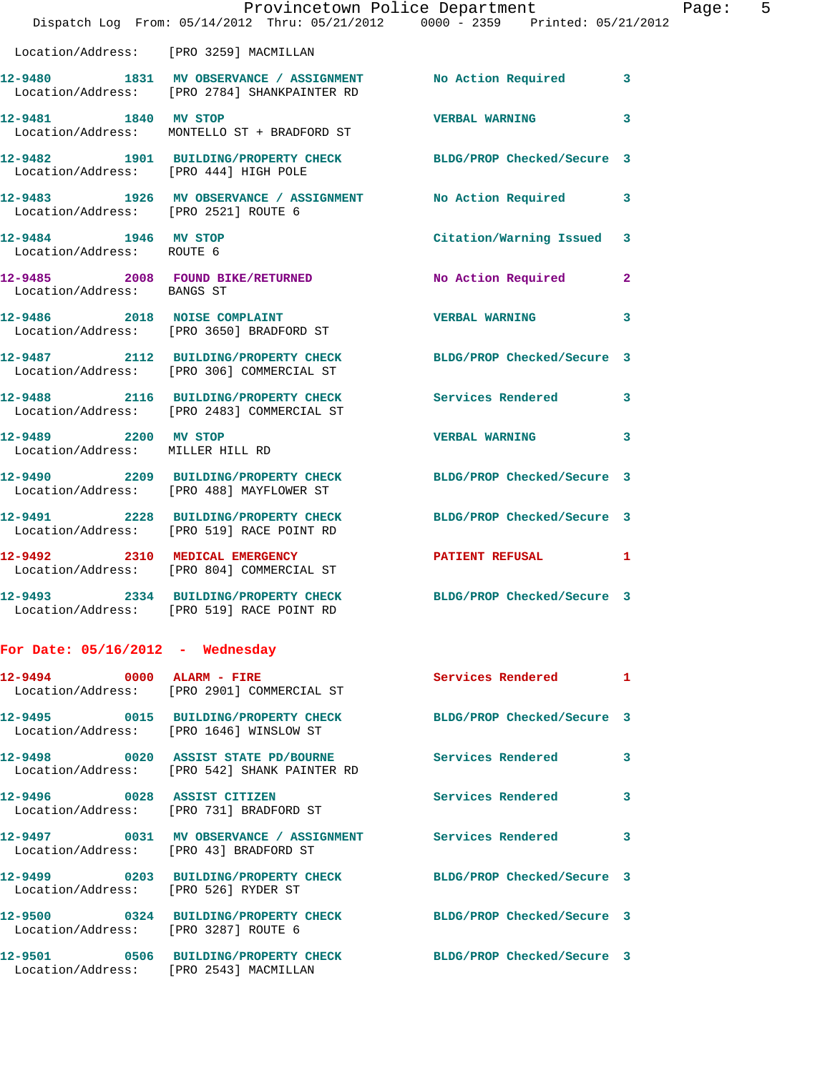|                                                          | Provincetown Police Department<br>Dispatch Log From: 05/14/2012 Thru: 05/21/2012 0000 - 2359 Printed: 05/21/2012 |                            |              |
|----------------------------------------------------------|------------------------------------------------------------------------------------------------------------------|----------------------------|--------------|
|                                                          | Location/Address: [PRO 3259] MACMILLAN                                                                           |                            |              |
|                                                          | 12-9480 1831 MV OBSERVANCE / ASSIGNMENT No Action Required<br>Location/Address: [PRO 2784] SHANKPAINTER RD       |                            | 3            |
| 12-9481 1840 MV STOP                                     | Location/Address: MONTELLO ST + BRADFORD ST                                                                      | <b>VERBAL WARNING</b>      | 3            |
| Location/Address: [PRO 444] HIGH POLE                    | 12-9482 1901 BUILDING/PROPERTY CHECK                                                                             | BLDG/PROP Checked/Secure 3 |              |
| Location/Address: [PRO 2521] ROUTE 6                     | 12-9483 1926 MV OBSERVANCE / ASSIGNMENT                                                                          | <b>No Action Required</b>  | 3            |
| 12-9484 1946 MV STOP<br>Location/Address: ROUTE 6        |                                                                                                                  | Citation/Warning Issued    | 3            |
| Location/Address: BANGS ST                               | 12-9485 2008 FOUND BIKE/RETURNED                                                                                 | No Action Required         | $\mathbf{2}$ |
|                                                          | 12-9486 2018 NOISE COMPLAINT<br>Location/Address: [PRO 3650] BRADFORD ST                                         | <b>VERBAL WARNING</b>      | 3            |
|                                                          | 12-9487 2112 BUILDING/PROPERTY CHECK<br>Location/Address: [PRO 306] COMMERCIAL ST                                | BLDG/PROP Checked/Secure 3 |              |
|                                                          | 12-9488 2116 BUILDING/PROPERTY CHECK<br>Location/Address: [PRO 2483] COMMERCIAL ST                               | Services Rendered          | 3            |
| 12-9489 2200 MV STOP<br>Location/Address: MILLER HILL RD |                                                                                                                  | <b>VERBAL WARNING</b>      | 3            |
|                                                          | 12-9490 2209 BUILDING/PROPERTY CHECK<br>Location/Address: [PRO 488] MAYFLOWER ST                                 | BLDG/PROP Checked/Secure 3 |              |
|                                                          | 12-9491 2228 BUILDING/PROPERTY CHECK<br>Location/Address: [PRO 519] RACE POINT RD                                | BLDG/PROP Checked/Secure 3 |              |
|                                                          | 12-9492 2310 MEDICAL EMERGENCY<br>Location/Address: [PRO 804] COMMERCIAL ST                                      | <b>PATIENT REFUSAL</b>     | 1            |
|                                                          | 12-9493 2334 BUILDING/PROPERTY CHECK BLDG/PROP Checked/Secure 3<br>Location/Address: [PRO 519] RACE POINT RD     |                            |              |
| For Date: $05/16/2012$ - Wednesday                       |                                                                                                                  |                            |              |
|                                                          | 12-9494 0000 ALARM - FIRE<br>Location/Address: [PRO 2901] COMMERCIAL ST                                          | Services Rendered          | 1            |
|                                                          | 12-9495 0015 BUILDING/PROPERTY CHECK<br>Location/Address: [PRO 1646] WINSLOW ST                                  | BLDG/PROP Checked/Secure 3 |              |
|                                                          | 12-9498 0020 ASSIST STATE PD/BOURNE Services Rendered<br>Location/Address: [PRO 542] SHANK PAINTER RD            |                            | 3            |
|                                                          | 12-9496 0028 ASSIST CITIZEN<br>Location/Address: [PRO 731] BRADFORD ST                                           | Services Rendered          | 3            |
|                                                          | 12-9497 0031 MV OBSERVANCE / ASSIGNMENT Services Rendered<br>Location/Address: [PRO 43] BRADFORD ST              |                            | 3            |
| Location/Address: [PRO 526] RYDER ST                     | 12-9499 			0203 BUILDING/PROPERTY CHECK BLDG/PROP Checked/Secure 3                                               |                            |              |
| Location/Address: [PRO 3287] ROUTE 6                     | 12-9500 0324 BUILDING/PROPERTY CHECK BLDG/PROP Checked/Secure 3                                                  |                            |              |

**12-9501 0506 BUILDING/PROPERTY CHECK BLDG/PROP Checked/Secure 3**  Location/Address: [PRO 2543] MACMILLAN

Page:  $5$ <br>2012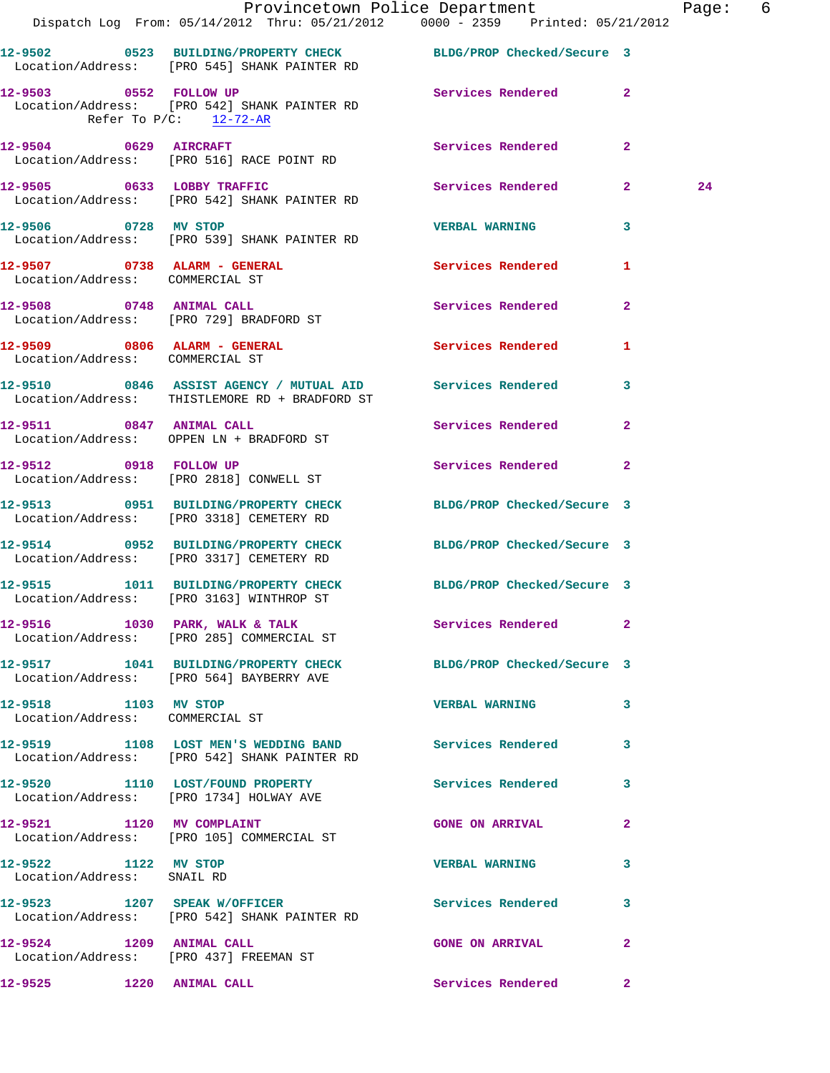|                                                                 | Provincetown Police Department<br>Dispatch Log From: 05/14/2012 Thru: 05/21/2012 0000 - 2359 Printed: 05/21/2012 |                            |              | Page: 6 |  |
|-----------------------------------------------------------------|------------------------------------------------------------------------------------------------------------------|----------------------------|--------------|---------|--|
|                                                                 | 12-9502 0523 BUILDING/PROPERTY CHECK BLDG/PROP Checked/Secure 3<br>Location/Address: [PRO 545] SHANK PAINTER RD  |                            |              |         |  |
| 12-9503 0552 FOLLOW UP<br>Refer To $P/C$ : 12-72-AR             | Location/Address: [PRO 542] SHANK PAINTER RD                                                                     | Services Rendered 2        |              |         |  |
|                                                                 | 12-9504 0629 AIRCRAFT<br>Location/Address: [PRO 516] RACE POINT RD                                               | Services Rendered          | $\mathbf{2}$ |         |  |
|                                                                 | 12-9505 0633 LOBBY TRAFFIC<br>Location/Address: [PRO 542] SHANK PAINTER RD                                       | <b>Services Rendered</b>   | $2^{\circ}$  | 24      |  |
| 12-9506 0728 MV STOP                                            | Location/Address: [PRO 539] SHANK PAINTER RD                                                                     | <b>VERBAL WARNING</b>      | 3            |         |  |
| 12-9507 0738 ALARM - GENERAL<br>Location/Address: COMMERCIAL ST |                                                                                                                  | <b>Services Rendered</b>   | $\mathbf{1}$ |         |  |
|                                                                 | 12-9508 0748 ANIMAL CALL<br>Location/Address: [PRO 729] BRADFORD ST                                              | Services Rendered 2        |              |         |  |
| Location/Address: COMMERCIAL ST                                 | 12-9509 0806 ALARM - GENERAL                                                                                     | <b>Services Rendered</b>   | 1            |         |  |
|                                                                 | 12-9510 0846 ASSIST AGENCY / MUTUAL AID Services Rendered 3<br>Location/Address: THISTLEMORE RD + BRADFORD ST    |                            |              |         |  |
|                                                                 | 12-9511 0847 ANIMAL CALL<br>Location/Address: OPPEN LN + BRADFORD ST                                             | Services Rendered          | $\mathbf{2}$ |         |  |
|                                                                 | 12-9512 0918 FOLLOW UP<br>Location/Address: [PRO 2818] CONWELL ST                                                | Services Rendered          | $\mathbf{2}$ |         |  |
|                                                                 | 12-9513 0951 BUILDING/PROPERTY CHECK BLDG/PROP Checked/Secure 3<br>Location/Address: [PRO 3318] CEMETERY RD      |                            |              |         |  |
|                                                                 | 12-9514 0952 BUILDING/PROPERTY CHECK BLDG/PROP Checked/Secure 3<br>Location/Address: [PRO 3317] CEMETERY RD      |                            |              |         |  |
|                                                                 | 12-9515 1011 BUILDING/PROPERTY CHECK<br>Location/Address: [PRO 3163] WINTHROP ST                                 | BLDG/PROP Checked/Secure 3 |              |         |  |
|                                                                 | 12-9516 1030 PARK, WALK & TALK<br>Location/Address: [PRO 285] COMMERCIAL ST                                      | Services Rendered 2        |              |         |  |
|                                                                 | 12-9517 1041 BUILDING/PROPERTY CHECK BLDG/PROP Checked/Secure 3<br>Location/Address: [PRO 564] BAYBERRY AVE      |                            |              |         |  |
| 12-9518 1103 MV STOP                                            | Location/Address: COMMERCIAL ST                                                                                  | <b>VERBAL WARNING</b>      | 3            |         |  |
|                                                                 | 12-9519 1108 LOST MEN'S WEDDING BAND Services Rendered<br>Location/Address: [PRO 542] SHANK PAINTER RD           |                            | 3            |         |  |
|                                                                 | 12-9520 1110 LOST/FOUND PROPERTY Services Rendered<br>Location/Address: [PRO 1734] HOLWAY AVE                    |                            | 3            |         |  |
|                                                                 | 12-9521 1120 MV COMPLAINT<br>Location/Address: [PRO 105] COMMERCIAL ST                                           | <b>GONE ON ARRIVAL</b>     | $\mathbf{2}$ |         |  |
| 12-9522 1122 MV STOP<br>Location/Address: SNAIL RD              |                                                                                                                  | <b>VERBAL WARNING</b>      | 3            |         |  |
|                                                                 | 12-9523 1207 SPEAK W/OFFICER<br>Location/Address: [PRO 542] SHANK PAINTER RD                                     | Services Rendered          | 3            |         |  |
| 12-9524 1209 ANIMAL CALL                                        | Location/Address: [PRO 437] FREEMAN ST                                                                           | <b>GONE ON ARRIVAL</b>     | $\mathbf{2}$ |         |  |
| 12-9525 1220 ANIMAL CALL                                        |                                                                                                                  | Services Rendered          | $\mathbf{2}$ |         |  |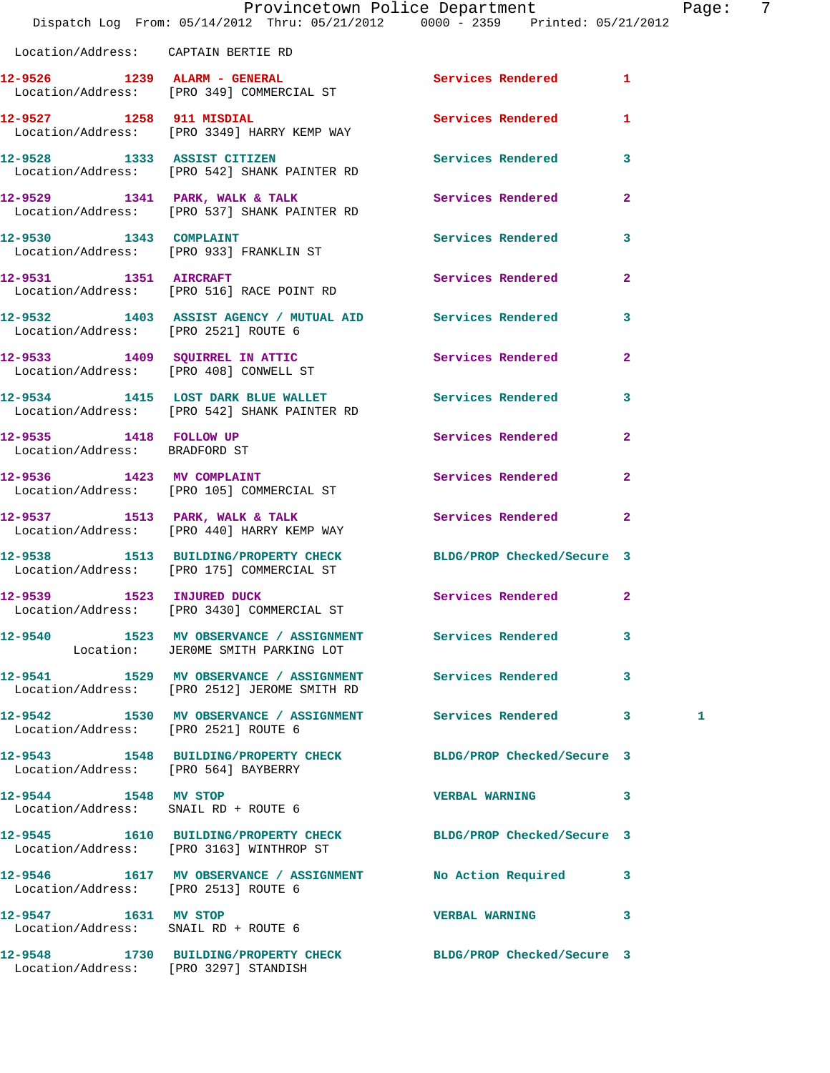|                                                              | Dispatch Log From: 05/14/2012 Thru: 05/21/2012 0000 - 2359 Printed: 05/21/2012                               | Provincetown Police Department |                | Page: 7 |  |
|--------------------------------------------------------------|--------------------------------------------------------------------------------------------------------------|--------------------------------|----------------|---------|--|
| Location/Address: CAPTAIN BERTIE RD                          |                                                                                                              |                                |                |         |  |
|                                                              | 12-9526 1239 ALARM - GENERAL<br>Location/Address: [PRO 349] COMMERCIAL ST                                    | Services Rendered 1            |                |         |  |
|                                                              | 12-9527 1258 911 MISDIAL<br>Location/Address: [PRO 3349] HARRY KEMP WAY                                      | Services Rendered 1            |                |         |  |
|                                                              | 12-9528 1333 ASSIST CITIZEN<br>Location/Address: [PRO 542] SHANK PAINTER RD                                  | Services Rendered 3            |                |         |  |
|                                                              | $12-9529$ 1341 PARK, WALK & TALK<br>Location/Address: [PRO 537] SHANK PAINTER RD                             | Services Rendered              | $\mathbf{2}$   |         |  |
|                                                              | 12-9530 1343 COMPLAINT<br>Location/Address: [PRO 933] FRANKLIN ST                                            | Services Rendered 3            |                |         |  |
|                                                              | 12-9531 1351 AIRCRAFT<br>Location/Address: [PRO 516] RACE POINT RD                                           | Services Rendered              | $\overline{2}$ |         |  |
| Location/Address: [PRO 2521] ROUTE 6                         | 12-9532 1403 ASSIST AGENCY / MUTUAL AID Services Rendered 3                                                  |                                |                |         |  |
|                                                              | 12-9533 1409 SQUIRREL IN ATTIC<br>Location/Address: [PRO 408] CONWELL ST                                     | Services Rendered              | $\mathbf{2}$   |         |  |
|                                                              | 12-9534 1415 LOST DARK BLUE WALLET Services Rendered 3<br>Location/Address: [PRO 542] SHANK PAINTER RD       |                                |                |         |  |
| 12-9535 1418 FOLLOW UP<br>Location/Address: BRADFORD ST      |                                                                                                              | Services Rendered              | $\mathbf{2}$   |         |  |
|                                                              | 12-9536 1423 MV COMPLAINT<br>Location/Address: [PRO 105] COMMERCIAL ST                                       | Services Rendered              | $\mathbf{2}$   |         |  |
|                                                              | 12-9537 1513 PARK, WALK & TALK<br>Location/Address: [PRO 440] HARRY KEMP WAY                                 | Services Rendered              | $\mathbf{2}$   |         |  |
|                                                              | 12-9538 1513 BUILDING/PROPERTY CHECK BLDG/PROP Checked/Secure 3<br>Location/Address: [PRO 175] COMMERCIAL ST |                                |                |         |  |
| 12-9539 1523 INJURED DUCK                                    | Location/Address: [PRO 3430] COMMERCIAL ST                                                                   | Services Rendered 2            |                |         |  |
|                                                              | 12-9540 1523 MV OBSERVANCE / ASSIGNMENT Services Rendered 3<br>Location: JEROME SMITH PARKING LOT            |                                |                |         |  |
|                                                              | 12-9541 1529 MV OBSERVANCE / ASSIGNMENT Services Rendered 3<br>Location/Address: [PRO 2512] JEROME SMITH RD  |                                |                |         |  |
| Location/Address: [PRO 2521] ROUTE 6                         | 12-9542 1530 MV OBSERVANCE / ASSIGNMENT Services Rendered 3                                                  |                                |                | 1       |  |
| Location/Address: [PRO 564] BAYBERRY                         | 12-9543 1548 BUILDING/PROPERTY CHECK BLDG/PROP Checked/Secure 3                                              |                                |                |         |  |
| 12-9544 1548 MV STOP                                         | Location/Address: SNAIL RD + ROUTE 6                                                                         | VERBAL WARNING 3               |                |         |  |
|                                                              | 12-9545 1610 BUILDING/PROPERTY CHECK BLDG/PROP Checked/Secure 3<br>Location/Address: [PRO 3163] WINTHROP ST  |                                |                |         |  |
| Location/Address: [PRO 2513] ROUTE 6                         | 12-9546 1617 MV OBSERVANCE / ASSIGNMENT No Action Required 3                                                 |                                |                |         |  |
| 12-9547 1631 MV STOP<br>Location/Address: SNAIL RD + ROUTE 6 |                                                                                                              | VERBAL WARNING 3               |                |         |  |
|                                                              | 12-9548 1730 BUILDING/PROPERTY CHECK BLDG/PROP Checked/Secure 3                                              |                                |                |         |  |

Location/Address: [PRO 3297] STANDISH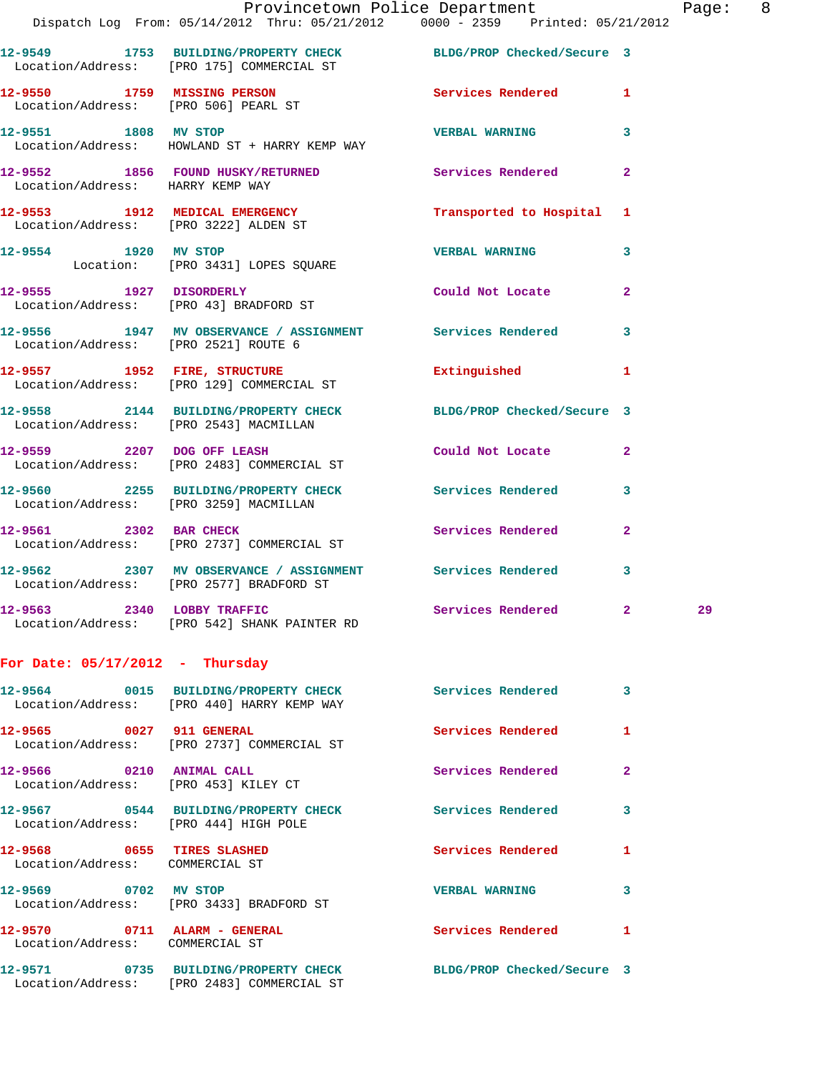|                                                                  | Provincetown Police Department The Page:<br>Dispatch Log From: 05/14/2012 Thru: 05/21/2012 0000 - 2359 Printed: 05/21/2012 |                     |                         |    | 8 |
|------------------------------------------------------------------|----------------------------------------------------------------------------------------------------------------------------|---------------------|-------------------------|----|---|
|                                                                  | 12-9549 1753 BUILDING/PROPERTY CHECK BLDG/PROP Checked/Secure 3<br>Location/Address: [PRO 175] COMMERCIAL ST               |                     |                         |    |   |
|                                                                  | 12-9550 1759 MISSING PERSON<br>Location/Address: [PRO 506] PEARL ST                                                        | Services Rendered 1 |                         |    |   |
|                                                                  | 12-9551 1808 MV STOP<br>Location/Address: HOWLAND ST + HARRY KEMP WAY                                                      | VERBAL WARNING 3    |                         |    |   |
| Location/Address: HARRY KEMP WAY                                 | 12-9552 1856 FOUND HUSKY/RETURNED Services Rendered 2                                                                      |                     |                         |    |   |
|                                                                  | 12-9553 1912 MEDICAL EMERGENCY Transported to Hospital 1<br>Location/Address: [PRO 3222] ALDEN ST                          |                     |                         |    |   |
|                                                                  | 12-9554 1920 MV STOP<br>Location: [PRO 3431] LOPES SQUARE                                                                  | VERBAL WARNING 3    |                         |    |   |
|                                                                  | 12-9555 1927 DISORDERLY Could Not Locate 2<br>Location/Address: [PRO 43] BRADFORD ST                                       |                     |                         |    |   |
|                                                                  | 12-9556 1947 MV OBSERVANCE / ASSIGNMENT Services Rendered 3<br>Location/Address: [PRO 2521] ROUTE 6                        |                     |                         |    |   |
|                                                                  | 12-9557 1952 FIRE, STRUCTURE 2008 Extinguished 1<br>Location/Address: [PRO 129] COMMERCIAL ST                              |                     |                         |    |   |
|                                                                  | 12-9558 2144 BUILDING/PROPERTY CHECK BLDG/PROP Checked/Secure 3<br>Location/Address: [PRO 2543] MACMILLAN                  |                     |                         |    |   |
|                                                                  | 12-9559 2207 DOG OFF LEASH<br>Location/Address: [PRO 2483] COMMERCIAL ST                                                   | Could Not Locate 2  |                         |    |   |
|                                                                  | 12-9560 2255 BUILDING/PROPERTY CHECK Services Rendered 3<br>Location/Address: [PRO 3259] MACMILLAN                         |                     |                         |    |   |
|                                                                  | 12-9561 2302 BAR CHECK<br>Location/Address: [PRO 2737] COMMERCIAL ST                                                       | Services Rendered 2 |                         |    |   |
|                                                                  | 12-9562 2307 MV OBSERVANCE / ASSIGNMENT Services Rendered<br>Location/Address: [PRO 2577] BRADFORD ST                      |                     | 3                       |    |   |
| 12-9563 2340 LOBBY TRAFFIC                                       | Location/Address: [PRO 542] SHANK PAINTER RD                                                                               | Services Rendered 2 |                         | 29 |   |
| For Date: $05/17/2012$ - Thursday                                |                                                                                                                            |                     |                         |    |   |
|                                                                  | 12-9564 0015 BUILDING/PROPERTY CHECK Services Rendered<br>Location/Address: [PRO 440] HARRY KEMP WAY                       |                     | $\overline{\mathbf{3}}$ |    |   |
| 12-9565 0027 911 GENERAL                                         | Location/Address: [PRO 2737] COMMERCIAL ST                                                                                 | Services Rendered 1 |                         |    |   |
| 12-9566 0210 ANIMAL CALL<br>Location/Address: [PRO 453] KILEY CT |                                                                                                                            | Services Rendered   | $\mathbf{2}$            |    |   |
| Location/Address: [PRO 444] HIGH POLE                            | 12-9567 0544 BUILDING/PROPERTY CHECK Services Rendered 3                                                                   |                     |                         |    |   |
| 12-9568 0655 TIRES SLASHED<br>Location/Address: COMMERCIAL ST    |                                                                                                                            | Services Rendered   | 1                       |    |   |
| 12-9569 0702 MV STOP                                             | Location/Address: [PRO 3433] BRADFORD ST                                                                                   | VERBAL WARNING 3    |                         |    |   |
| 12-9570 0711 ALARM - GENERAL<br>Location/Address: COMMERCIAL ST  |                                                                                                                            | Services Rendered   | 1                       |    |   |

Location/Address: [PRO 2483] COMMERCIAL ST

**12-9571 0735 BUILDING/PROPERTY CHECK BLDG/PROP Checked/Secure 3**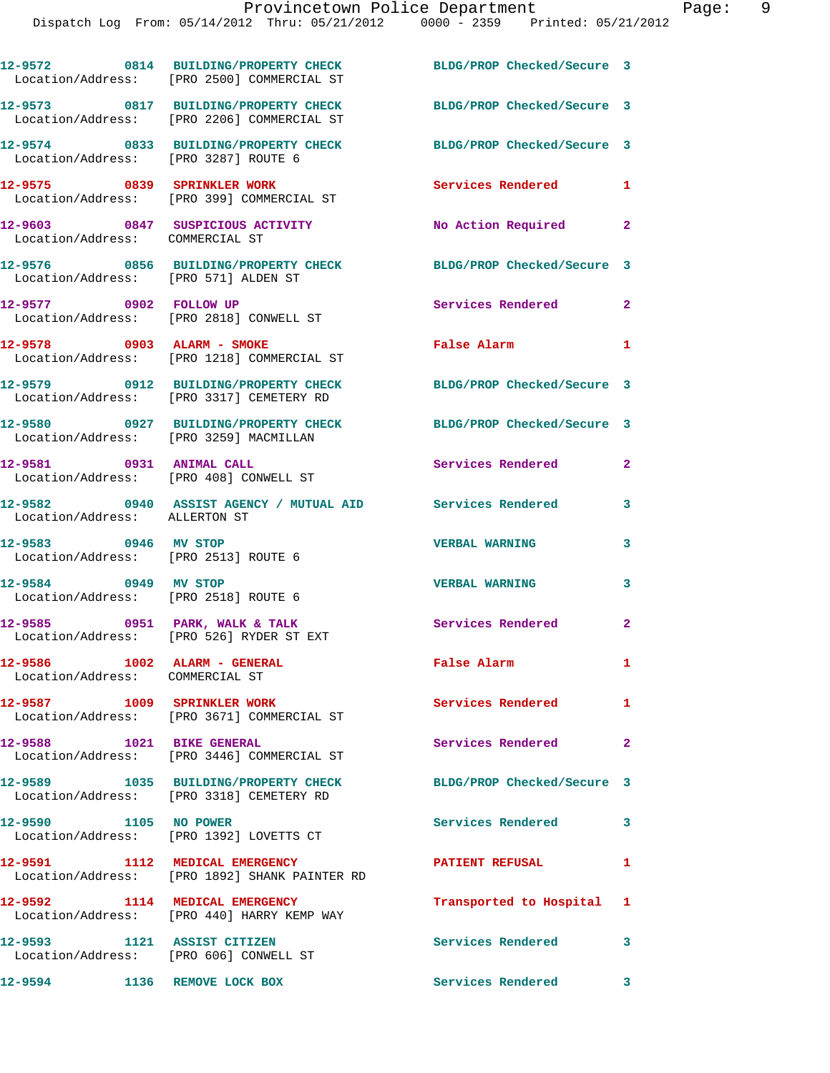|                                                                       | 12-9572 0814 BUILDING/PROPERTY CHECK<br>Location/Address: [PRO 2500] COMMERCIAL ST     | BLDG/PROP Checked/Secure 3 |                            |
|-----------------------------------------------------------------------|----------------------------------------------------------------------------------------|----------------------------|----------------------------|
|                                                                       | 12-9573 0817 BUILDING/PROPERTY CHECK<br>Location/Address: [PRO 2206] COMMERCIAL ST     | BLDG/PROP Checked/Secure 3 |                            |
| Location/Address: [PRO 3287] ROUTE 6                                  | 12-9574 0833 BUILDING/PROPERTY CHECK                                                   | BLDG/PROP Checked/Secure 3 |                            |
|                                                                       | 12-9575 0839 SPRINKLER WORK<br>Location/Address: [PRO 399] COMMERCIAL ST               | Services Rendered 1        |                            |
| Location/Address: COMMERCIAL ST                                       | 12-9603 0847 SUSPICIOUS ACTIVITY                                                       | No Action Required 2       |                            |
| Location/Address: [PRO 571] ALDEN ST                                  | 12-9576 0856 BUILDING/PROPERTY CHECK BLDG/PROP Checked/Secure 3                        |                            |                            |
| 12-9577 0902 FOLLOW UP                                                | Location/Address: [PRO 2818] CONWELL ST                                                | Services Rendered 2        |                            |
|                                                                       | 12-9578 0903 ALARM - SMOKE<br>Location/Address: [PRO 1218] COMMERCIAL ST               | <b>False Alarm</b>         | $\mathbf{1}$               |
|                                                                       | 12-9579 0912 BUILDING/PROPERTY CHECK<br>Location/Address: [PRO 3317] CEMETERY RD       | BLDG/PROP Checked/Secure 3 |                            |
|                                                                       | 12-9580      0927  BUILDING/PROPERTY CHECK<br>Location/Address:   [PRO 3259] MACMILLAN | BLDG/PROP Checked/Secure 3 |                            |
| 12-9581 0931 ANIMAL CALL                                              | Location/Address: [PRO 408] CONWELL ST                                                 | Services Rendered          | $\mathbf{2}$               |
| Location/Address: ALLERTON ST                                         | 12-9582 0940 ASSIST AGENCY / MUTUAL AID Services Rendered                              |                            | 3                          |
| 12-9583 0946 MV STOP<br>Location/Address: [PRO 2513] ROUTE 6          |                                                                                        | <b>VERBAL WARNING</b>      | 3                          |
| 12-9584 0949 MV STOP<br>Location/Address: [PRO 2518] ROUTE 6          |                                                                                        | <b>VERBAL WARNING</b>      | 3                          |
|                                                                       | $12-9585$ 0951 PARK, WALK & TALK<br>Location/Address: [PRO 526] RYDER ST EXT           | <b>Services Rendered</b>   | $\mathbf{2}$               |
| 12-9586 1002 ALARM - GENERAL<br>Location/Address: COMMERCIAL ST       |                                                                                        | False Alarm                | $\mathbf{1}$               |
|                                                                       | 12-9587 1009 SPRINKLER WORK<br>Location/Address: [PRO 3671] COMMERCIAL ST              | Services Rendered 1        |                            |
| 12-9588 1021 BIKE GENERAL                                             | Location/Address: [PRO 3446] COMMERCIAL ST                                             | Services Rendered          | $\mathbf{2}$               |
|                                                                       | 12-9589 1035 BUILDING/PROPERTY CHECK<br>Location/Address: [PRO 3318] CEMETERY RD       | BLDG/PROP Checked/Secure 3 |                            |
| 12-9590 1105 NO POWER                                                 | Location/Address: [PRO 1392] LOVETTS CT                                                | Services Rendered          | 3                          |
| 12-9591 1112 MEDICAL EMERGENCY                                        | Location/Address: [PRO 1892] SHANK PAINTER RD                                          | <b>PATIENT REFUSAL</b>     | 1                          |
|                                                                       | 12-9592 1114 MEDICAL EMERGENCY<br>Location/Address: [PRO 440] HARRY KEMP WAY           | Transported to Hospital 1  |                            |
| 12-9593 1121 ASSIST CITIZEN<br>Location/Address: [PRO 606] CONWELL ST |                                                                                        | Services Rendered          | 3                          |
| 12-9594                                                               | 1136 REMOVE LOCK BOX                                                                   | Services Rendered          | $\overline{\phantom{a}}$ 3 |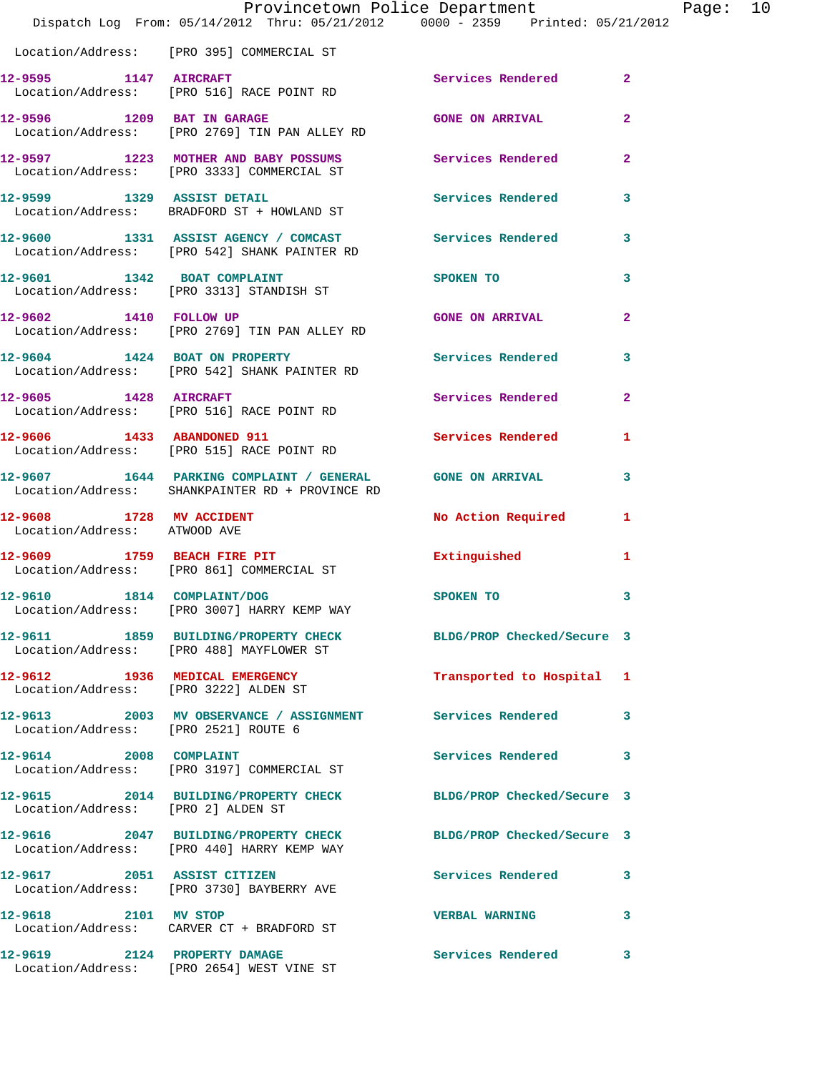|                                                          | Provincetown Police Department<br>Dispatch Log From: 05/14/2012 Thru: 05/21/2012 0000 - 2359 Printed: 05/21/2012 |                            |                         | Ρa |
|----------------------------------------------------------|------------------------------------------------------------------------------------------------------------------|----------------------------|-------------------------|----|
|                                                          | Location/Address: [PRO 395] COMMERCIAL ST                                                                        |                            |                         |    |
|                                                          | 12-9595 1147 AIRCRAFT<br>Location/Address: [PRO 516] RACE POINT RD                                               | Services Rendered          | $\mathbf{2}$            |    |
|                                                          | 12-9596 1209 BAT IN GARAGE<br>Location/Address: [PRO 2769] TIN PAN ALLEY RD                                      | <b>GONE ON ARRIVAL</b>     | $\overline{\mathbf{2}}$ |    |
|                                                          | 12-9597 1223 MOTHER AND BABY POSSUMS<br>Location/Address: [PRO 3333] COMMERCIAL ST                               | Services Rendered          | $\overline{\mathbf{2}}$ |    |
|                                                          | 12-9599 1329 ASSIST DETAIL<br>Location/Address: BRADFORD ST + HOWLAND ST                                         | Services Rendered          | 3                       |    |
|                                                          | 12-9600 1331 ASSIST AGENCY / COMCAST Services Rendered<br>Location/Address: [PRO 542] SHANK PAINTER RD           |                            | 3                       |    |
|                                                          | 12-9601 1342 BOAT COMPLAINT<br>Location/Address: [PRO 3313] STANDISH ST                                          | SPOKEN TO                  | 3                       |    |
| 12-9602 1410 FOLLOW UP                                   | Location/Address: [PRO 2769] TIN PAN ALLEY RD                                                                    | <b>GONE ON ARRIVAL</b>     | $\overline{2}$          |    |
|                                                          | 12-9604 1424 BOAT ON PROPERTY<br>Location/Address: [PRO 542] SHANK PAINTER RD                                    | Services Rendered          | 3                       |    |
| 12-9605 1428 AIRCRAFT                                    | Location/Address: [PRO 516] RACE POINT RD                                                                        | <b>Services Rendered</b>   | $\overline{a}$          |    |
|                                                          | 12-9606 1433 ABANDONED 911<br>Location/Address: [PRO 515] RACE POINT RD                                          | <b>Services Rendered</b>   | 1                       |    |
|                                                          | 12-9607 1644 PARKING COMPLAINT / GENERAL GONE ON ARRIVAL<br>Location/Address: SHANKPAINTER RD + PROVINCE RD      |                            | 3                       |    |
| 12-9608 1728 MV ACCIDENT<br>Location/Address: ATWOOD AVE |                                                                                                                  | No Action Required         | 1                       |    |
|                                                          | 12-9609 1759 BEACH FIRE PIT<br>Location/Address: [PRO 861] COMMERCIAL ST                                         | Extinguished               | 1                       |    |
| 12-9610 1814 COMPLAINT/DOG                               | Location/Address: [PRO 3007] HARRY KEMP WAY                                                                      | SPOKEN TO                  | 3                       |    |
|                                                          | 12-9611 1859 BUILDING/PROPERTY CHECK<br>Location/Address: [PRO 488] MAYFLOWER ST                                 | BLDG/PROP Checked/Secure 3 |                         |    |
|                                                          | 12-9612 1936 MEDICAL EMERGENCY<br>Location/Address: [PRO 3222] ALDEN ST                                          | Transported to Hospital    | 1                       |    |
| Location/Address: [PRO 2521] ROUTE 6                     | 12-9613 2003 MV OBSERVANCE / ASSIGNMENT Services Rendered                                                        |                            | 3                       |    |
|                                                          | 12-9614 2008 COMPLAINT<br>Location/Address: [PRO 3197] COMMERCIAL ST                                             | Services Rendered          | 3                       |    |
| Location/Address: [PRO 2] ALDEN ST                       | 12-9615 2014 BUILDING/PROPERTY CHECK BLDG/PROP Checked/Secure 3                                                  |                            |                         |    |
|                                                          | 12-9616 2047 BUILDING/PROPERTY CHECK<br>Location/Address: [PRO 440] HARRY KEMP WAY                               | BLDG/PROP Checked/Secure 3 |                         |    |
| 12-9617 2051 ASSIST CITIZEN                              | Location/Address: [PRO 3730] BAYBERRY AVE                                                                        | Services Rendered          | 3                       |    |
|                                                          | 12-9618 2101 MV STOP<br>Location/Address: CARVER CT + BRADFORD ST                                                | <b>VERBAL WARNING</b>      | 3                       |    |
| 12-9619 2124 PROPERTY DAMAGE                             | Location/Address: [PRO 2654] WEST VINE ST                                                                        | <b>Services Rendered</b>   | 3                       |    |

age: 10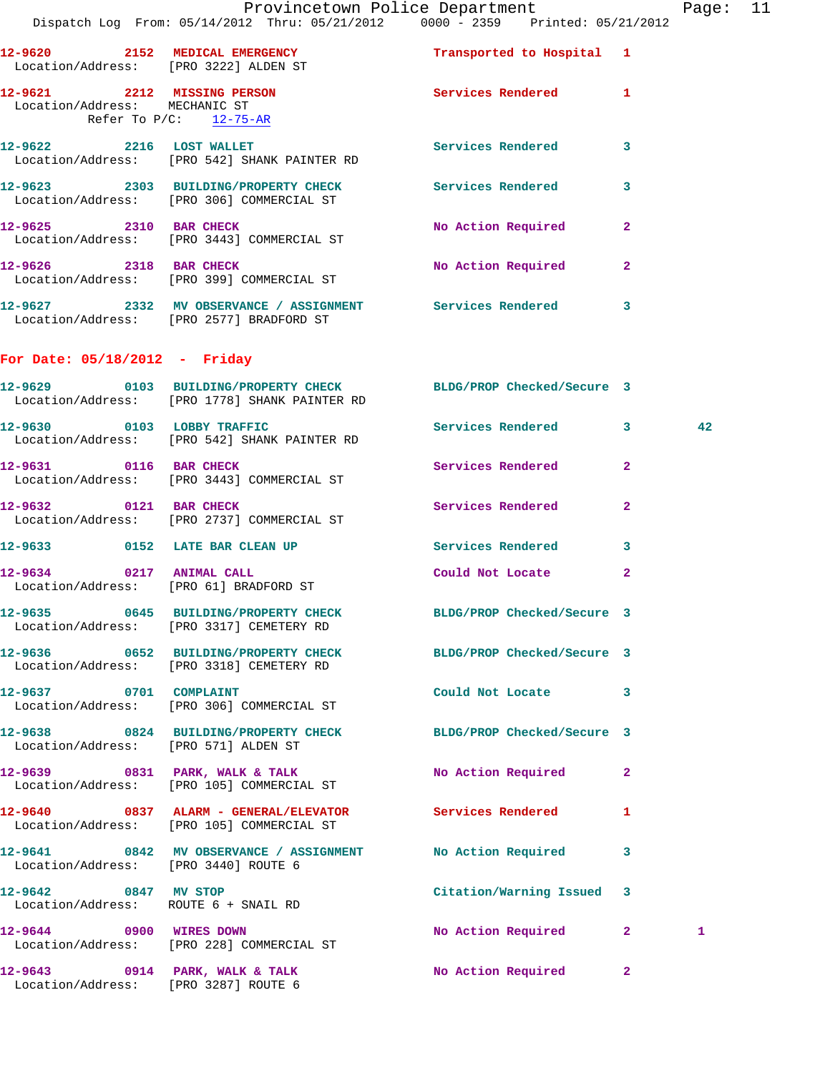Page: 11

|                                                              | Provincetown Police Department<br>Dispatch Log From: 05/14/2012 Thru: 05/21/2012 0000 - 2359 Printed: 05/21/2012         |                            |                | Page |
|--------------------------------------------------------------|--------------------------------------------------------------------------------------------------------------------------|----------------------------|----------------|------|
| Location/Address: [PRO 3222] ALDEN ST                        | 12-9620 2152 MEDICAL EMERGENCY Transported to Hospital 1                                                                 |                            |                |      |
| 12-9621 2212 MISSING PERSON<br>Location/Address: MECHANIC ST | Refer To $P/C$ : 12-75-AR                                                                                                | Services Rendered 1        |                |      |
|                                                              | 12-9622 2216 LOST WALLET<br>Location/Address: [PRO 542] SHANK PAINTER RD                                                 | Services Rendered          | $\mathbf{3}$   |      |
|                                                              | 12-9623 2303 BUILDING/PROPERTY CHECK Services Rendered 3<br>Location/Address: [PRO 306] COMMERCIAL ST                    |                            |                |      |
|                                                              | 12-9625 2310 BAR CHECK<br>Location/Address: [PRO 3443] COMMERCIAL ST                                                     | No Action Required         | $\mathbf{2}$   |      |
| 12-9626 2318 BAR CHECK                                       | Location/Address: [PRO 399] COMMERCIAL ST                                                                                | No Action Required 2       |                |      |
|                                                              |                                                                                                                          |                            |                |      |
| For Date: $05/18/2012$ - Friday                              |                                                                                                                          |                            |                |      |
|                                                              | 12-9629 			 0103 BUILDING/PROPERTY CHECK 				BLDG/PROP Checked/Secure 3<br>Location/Address: [PRO 1778] SHANK PAINTER RD |                            |                |      |
|                                                              | 12-9630 0103 LOBBY TRAFFIC<br>Location/Address: [PRO 542] SHANK PAINTER RD                                               | Services Rendered 3        |                | 42   |
|                                                              | 12-9631 0116 BAR CHECK<br>Location/Address: [PRO 3443] COMMERCIAL ST                                                     | Services Rendered          | $\overline{2}$ |      |
| 12-9632 0121 BAR CHECK                                       | Location/Address: [PRO 2737] COMMERCIAL ST                                                                               | Services Rendered          | $\mathbf{2}$   |      |
|                                                              | 12-9633 0152 LATE BAR CLEAN UP                                                                                           | Services Rendered 3        |                |      |
| 12-9634 0217 ANIMAL CALL                                     | Location/Address: [PRO 61] BRADFORD ST                                                                                   | Could Not Locate           | 2              |      |
|                                                              | 12-9635 0645 BUILDING/PROPERTY CHECK<br>Location/Address: [PRO 3317] CEMETERY RD                                         | BLDG/PROP Checked/Secure 3 |                |      |
|                                                              | 12-9636 0652 BUILDING/PROPERTY CHECK<br>Location/Address: [PRO 3318] CEMETERY RD                                         | BLDG/PROP Checked/Secure 3 |                |      |
|                                                              | 12-9637 0701 COMPLAINT<br>Location/Address: [PRO 306] COMMERCIAL ST                                                      | Could Not Locate 3         |                |      |
| Location/Address: [PRO 571] ALDEN ST                         | 12-9638 0824 BUILDING/PROPERTY CHECK BLDG/PROP Checked/Secure 3                                                          |                            |                |      |
|                                                              | $12-9639$ 0831 PARK, WALK & TALK<br>Location/Address: [PRO 105] COMMERCIAL ST                                            | No Action Required         | $\mathbf{2}$   |      |
|                                                              | 12-9640 0837 ALARM - GENERAL/ELEVATOR Services Rendered<br>Location/Address: [PRO 105] COMMERCIAL ST                     |                            | 1              |      |
| Location/Address: [PRO 3440] ROUTE 6                         | 12-9641 0842 MV OBSERVANCE / ASSIGNMENT No Action Required                                                               |                            | 3              |      |
| 12-9642 0847 MV STOP                                         | Location/Address: ROUTE 6 + SNAIL RD                                                                                     | Citation/Warning Issued 3  |                |      |
|                                                              | 12-9644 0900 WIRES DOWN<br>Location/Address: [PRO 228] COMMERCIAL ST                                                     | No Action Required 2       |                | 1    |
| Location/Address: [PRO 3287] ROUTE 6                         | $12-9643$ 0914 PARK, WALK & TALK                                                                                         | No Action Required         | $\mathbf{2}$   |      |
|                                                              |                                                                                                                          |                            |                |      |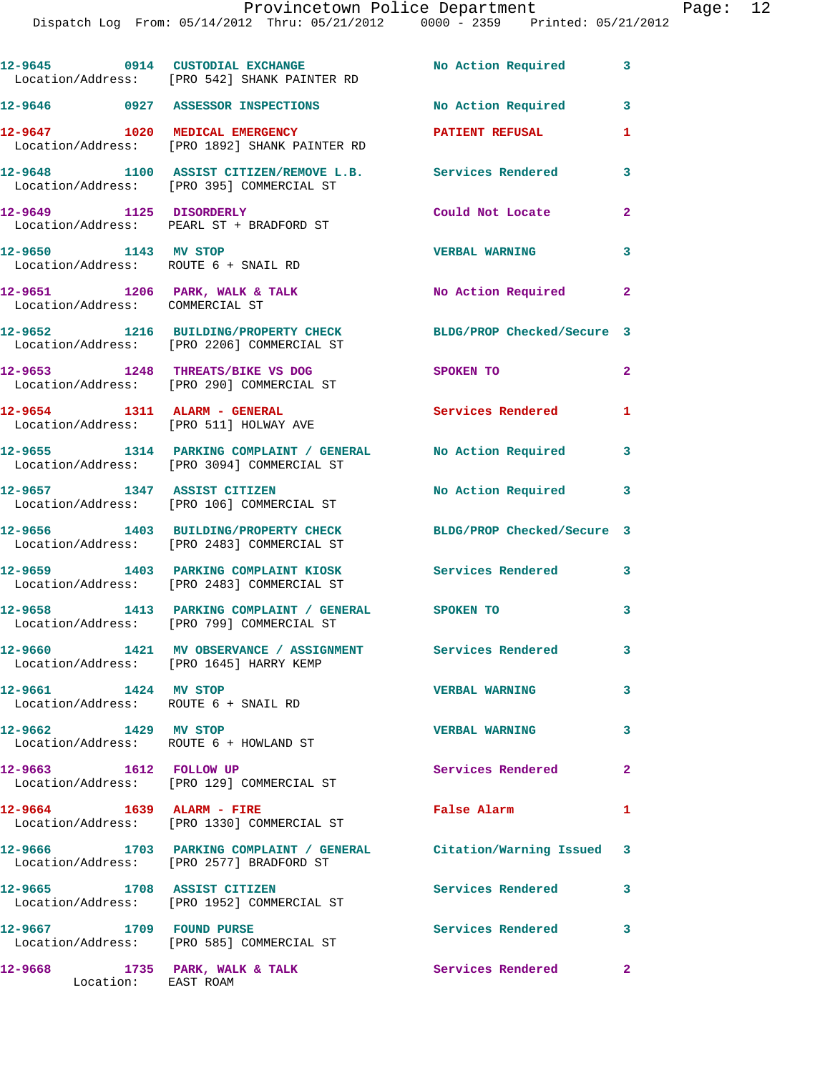|                                                              | 12-9645 0914 CUSTODIAL EXCHANGE No Action Required 3<br>Location/Address: [PRO 542] SHANK PAINTER RD           |                            |                         |
|--------------------------------------------------------------|----------------------------------------------------------------------------------------------------------------|----------------------------|-------------------------|
|                                                              | 12-9646 0927 ASSESSOR INSPECTIONS                                                                              | No Action Required         | 3                       |
| 12-9647 1020 MEDICAL EMERGENCY                               | Location/Address: [PRO 1892] SHANK PAINTER RD                                                                  | <b>PATIENT REFUSAL</b>     | 1                       |
|                                                              | 12-9648 1100 ASSIST CITIZEN/REMOVE L.B. Services Rendered<br>Location/Address: [PRO 395] COMMERCIAL ST         |                            | 3                       |
| 12-9649 1125 DISORDERLY                                      | Location/Address: PEARL ST + BRADFORD ST                                                                       | Could Not Locate           | $\mathbf{2}$            |
| 12-9650 1143 MV STOP<br>Location/Address: ROUTE 6 + SNAIL RD |                                                                                                                | <b>VERBAL WARNING</b>      | 3                       |
| Location/Address: COMMERCIAL ST                              | 12-9651 1206 PARK, WALK & TALK                                                                                 | No Action Required 2       |                         |
|                                                              | 12-9652 1216 BUILDING/PROPERTY CHECK<br>Location/Address: [PRO 2206] COMMERCIAL ST                             | BLDG/PROP Checked/Secure 3 |                         |
|                                                              | 12-9653 1248 THREATS/BIKE VS DOG<br>Location/Address: [PRO 290] COMMERCIAL ST                                  | SPOKEN TO                  | $\overline{2}$          |
|                                                              | 12-9654 1311 ALARM - GENERAL<br>Location/Address: [PRO 511] HOLWAY AVE                                         | <b>Services Rendered</b>   | 1                       |
|                                                              | 12-9655 1314 PARKING COMPLAINT / GENERAL No Action Required<br>Location/Address: [PRO 3094] COMMERCIAL ST      |                            | 3                       |
|                                                              | 12-9657 1347 ASSIST CITIZEN<br>Location/Address: [PRO 106] COMMERCIAL ST                                       | No Action Required 3       |                         |
|                                                              | 12-9656 1403 BUILDING/PROPERTY CHECK<br>Location/Address: [PRO 2483] COMMERCIAL ST                             | BLDG/PROP Checked/Secure 3 |                         |
|                                                              | 12-9659 1403 PARKING COMPLAINT KIOSK Services Rendered 3<br>Location/Address: [PRO 2483] COMMERCIAL ST         |                            |                         |
|                                                              | 12-9658 1413 PARKING COMPLAINT / GENERAL SPOKEN TO<br>Location/Address: [PRO 799] COMMERCIAL ST                |                            | 3                       |
|                                                              | 12-9660 1421 MV OBSERVANCE / ASSIGNMENT<br>Location/Address: [PRO 1645] HARRY KEMP                             | Services Rendered          | 3 <sup>7</sup>          |
| 12-9661 1424 MV STOP                                         | Location/Address: ROUTE 6 + SNAIL RD                                                                           | <b>VERBAL WARNING</b>      | $\overline{\mathbf{3}}$ |
| 12-9662 1429 MV STOP                                         | Location/Address: ROUTE 6 + HOWLAND ST                                                                         | <b>VERBAL WARNING</b>      | $\mathbf{3}$            |
| 12-9663 1612 FOLLOW UP                                       | Location/Address: [PRO 129] COMMERCIAL ST                                                                      | Services Rendered          | $\mathbf{2}$            |
| 12-9664 1639 ALARM - FIRE                                    | Location/Address: [PRO 1330] COMMERCIAL ST                                                                     | False Alarm                | 1                       |
|                                                              | 12-9666 1703 PARKING COMPLAINT / GENERAL Citation/Warning Issued 3<br>Location/Address: [PRO 2577] BRADFORD ST |                            |                         |
| 12-9665 1708 ASSIST CITIZEN                                  | Location/Address: [PRO 1952] COMMERCIAL ST                                                                     | <b>Services Rendered</b>   | 3                       |
| 12-9667 1709 FOUND PURSE                                     | Location/Address: [PRO 585] COMMERCIAL ST                                                                      | Services Rendered          | 3                       |
| 12-9668<br>Location: EAST ROAM                               | 1735 PARK, WALK & TALK                                                                                         | <b>Services Rendered</b> 2 |                         |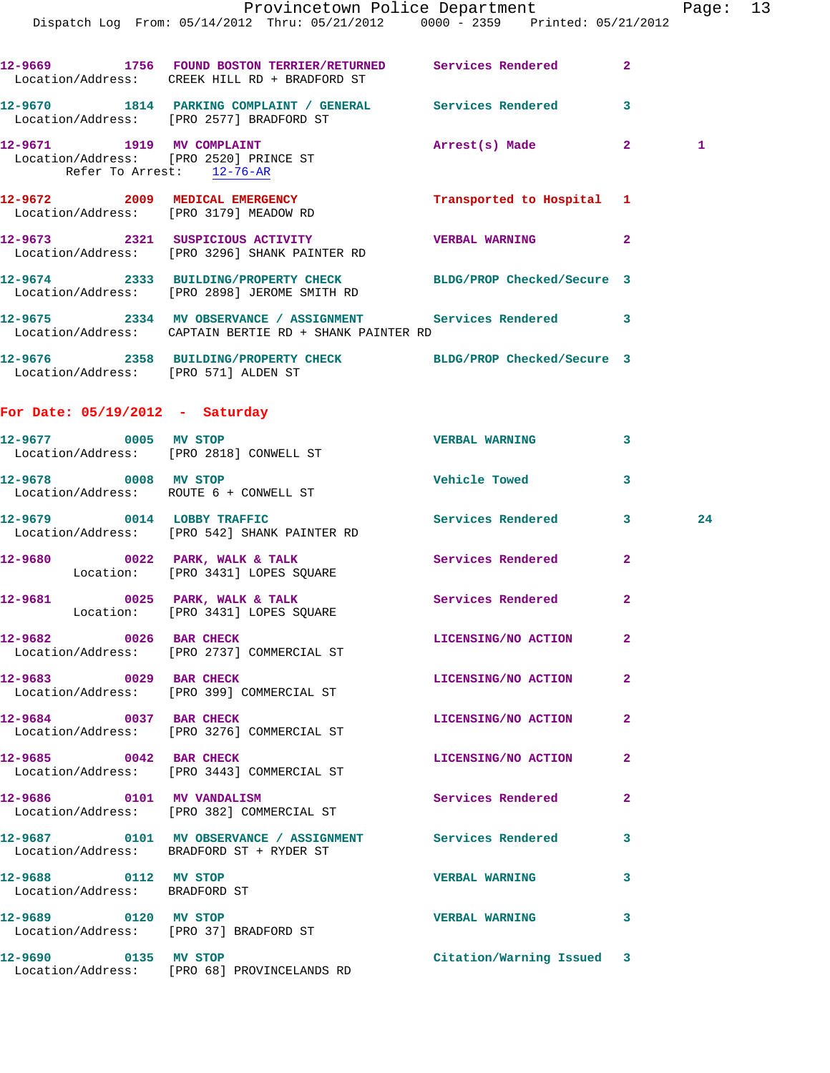|                                      |                                                                                                                       | Provincetown Police Department Page: 13 |                |              |  |
|--------------------------------------|-----------------------------------------------------------------------------------------------------------------------|-----------------------------------------|----------------|--------------|--|
|                                      | Dispatch Log From: 05/14/2012 Thru: 05/21/2012 0000 - 2359 Printed: 05/21/2012                                        |                                         |                |              |  |
|                                      | 12-9669 1756 FOUND BOSTON TERRIER/RETURNED Services Rendered 2<br>Location/Address: CREEK HILL RD + BRADFORD ST       |                                         |                |              |  |
|                                      | 12-9670 1814 PARKING COMPLAINT / GENERAL Services Rendered 3<br>Location/Address: [PRO 2577] BRADFORD ST              |                                         |                |              |  |
| Refer To Arrest: 12-76-AR            | 12-9671 1919 MV COMPLAINT<br>Location/Address: [PRO 2520] PRINCE ST                                                   | Arrest(s) Made 2                        |                | $\mathbf{1}$ |  |
|                                      | 12-9672 2009 MEDICAL EMERGENCY<br>Location/Address: [PRO 3179] MEADOW RD                                              | Transported to Hospital 1               |                |              |  |
|                                      | 12-9673 2321 SUSPICIOUS ACTIVITY VERBAL WARNING 2<br>Location/Address: [PRO 3296] SHANK PAINTER RD                    |                                         |                |              |  |
|                                      | 12-9674 2333 BUILDING/PROPERTY CHECK BLDG/PROP Checked/Secure 3<br>Location/Address: [PRO 2898] JEROME SMITH RD       |                                         |                |              |  |
|                                      | 12-9675 2334 MV OBSERVANCE / ASSIGNMENT Services Rendered 3<br>Location/Address: CAPTAIN BERTIE RD + SHANK PAINTER RD |                                         |                |              |  |
| Location/Address: [PRO 571] ALDEN ST | 12-9676 2358 BUILDING/PROPERTY CHECK BLDG/PROP Checked/Secure 3                                                       |                                         |                |              |  |
| For Date: $05/19/2012$ - Saturday    |                                                                                                                       |                                         |                |              |  |
|                                      | 12-9677 0005 MV STOP<br>Location/Address: [PRO 2818] CONWELL ST                                                       | VERBAL WARNING 3                        |                |              |  |
|                                      | 12-9678 0008 MV STOP<br>Location/Address: ROUTE 6 + CONWELL ST                                                        | Vehicle Towed                           | 3              |              |  |
|                                      | 12-9679 0014 LOBBY TRAFFIC<br>Location/Address: [PRO 542] SHANK PAINTER RD                                            | Services Rendered 3                     |                | 24           |  |
|                                      | 12-9680 0022 PARK, WALK & TALK Services Rendered<br>Location: [PRO 3431] LOPES SQUARE                                 |                                         | $\mathbf{2}$   |              |  |
| 12-9681                              | 0025 PARK, WALK & TALK<br>Location: [PRO 3431] LOPES SQUARE                                                           | Services Rendered                       | $\mathbf{2}$   |              |  |
| 12-9682 0026 BAR CHECK               | Location/Address: [PRO 2737] COMMERCIAL ST                                                                            | LICENSING/NO ACTION                     | $\overline{2}$ |              |  |
| 12-9683 0029 BAR CHECK               | Location/Address: [PRO 399] COMMERCIAL ST                                                                             | LICENSING/NO ACTION                     | 2              |              |  |
| 12-9684 0037 BAR CHECK               | Location/Address: [PRO 3276] COMMERCIAL ST                                                                            | LICENSING/NO ACTION                     | $\mathbf{2}$   |              |  |

**12-9685 0042 BAR CHECK LICENSING/NO ACTION 2**  Location/Address: [PRO 3443] COMMERCIAL ST

**12-9686 0101 MV VANDALISM Services Rendered 2**  Location/Address: [PRO 382] COMMERCIAL ST

**12-9687 0101 MV OBSERVANCE / ASSIGNMENT Services Rendered 3**  Location/Address: BRADFORD ST + RYDER ST

**12-9688 0112 MV STOP VERBAL WARNING 3**  Location/Address: BRADFORD ST

**12-9689 0120 MV STOP VERBAL WARNING 3** 

Location/Address: [PRO 37] BRADFORD ST

**12-9690 0135 MV STOP Citation/Warning Issued 3**  Location/Address: [PRO 68] PROVINCELANDS RD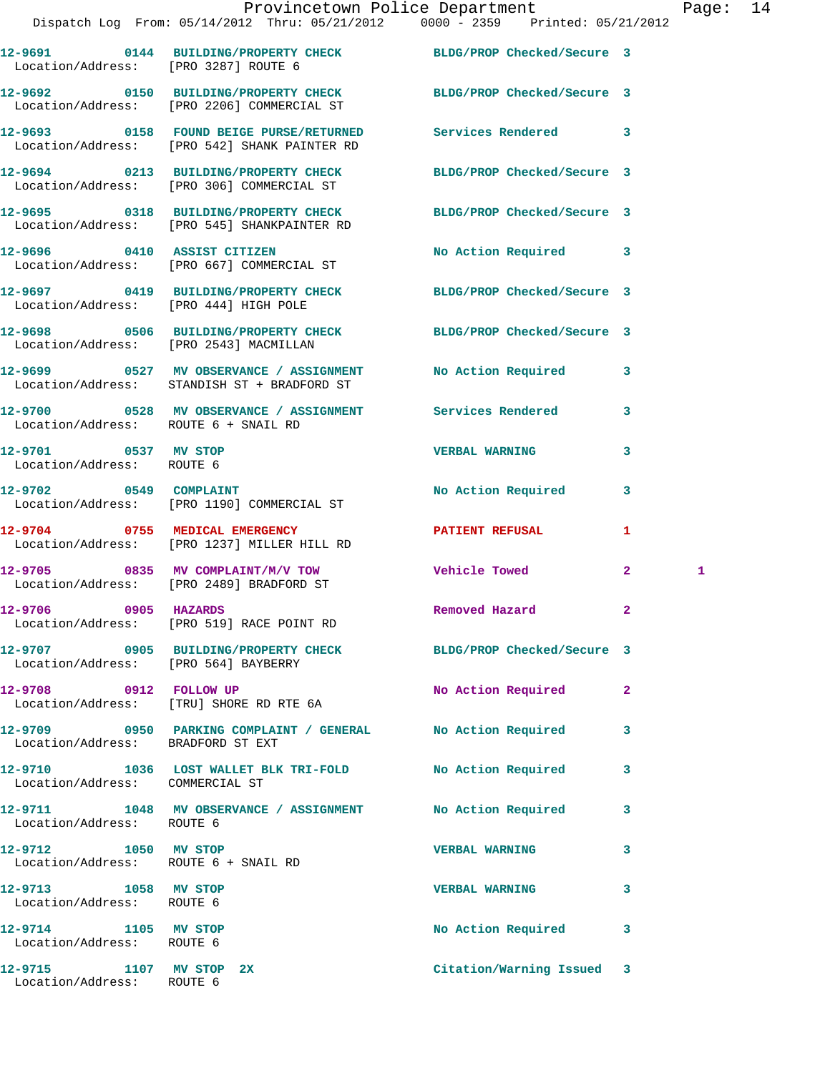|                                                              | Provincetown Police Department The Page: 14<br>Dispatch Log From: 05/14/2012 Thru: 05/21/2012 0000 - 2359 Printed: 05/21/2012 |                       |                     |
|--------------------------------------------------------------|-------------------------------------------------------------------------------------------------------------------------------|-----------------------|---------------------|
|                                                              |                                                                                                                               |                       |                     |
|                                                              | 12-9691 0144 BUILDING/PROPERTY CHECK BLDG/PROP Checked/Secure 3<br>Location/Address: [PRO 3287] ROUTE 6                       |                       |                     |
|                                                              | 12-9692 0150 BUILDING/PROPERTY CHECK BLDG/PROP Checked/Secure 3<br>Location/Address: [PRO 2206] COMMERCIAL ST                 |                       |                     |
|                                                              | 12-9693 0158 FOUND BEIGE PURSE/RETURNED Services Rendered 3<br>Location/Address: [PRO 542] SHANK PAINTER RD                   |                       |                     |
|                                                              | 12-9694 0213 BUILDING/PROPERTY CHECK BLDG/PROP Checked/Secure 3<br>Location/Address: [PRO 306] COMMERCIAL ST                  |                       |                     |
|                                                              | 12-9695 0318 BUILDING/PROPERTY CHECK BLDG/PROP Checked/Secure 3<br>Location/Address: [PRO 545] SHANKPAINTER RD                |                       |                     |
|                                                              | 12-9696 0410 ASSIST CITIZEN<br>Location/Address: [PRO 667] COMMERCIAL ST                                                      | No Action Required 3  |                     |
| Location/Address: [PRO 444] HIGH POLE                        | 12-9697 0419 BUILDING/PROPERTY CHECK BLDG/PROP Checked/Secure 3                                                               |                       |                     |
|                                                              | 12-9698 0506 BUILDING/PROPERTY CHECK BLDG/PROP Checked/Secure 3<br>Location/Address: [PRO 2543] MACMILLAN                     |                       |                     |
|                                                              | 12-9699 0527 MV OBSERVANCE / ASSIGNMENT No Action Required 3<br>Location/Address: STANDISH ST + BRADFORD ST                   |                       |                     |
| Location/Address: ROUTE 6 + SNAIL RD                         | 12-9700 0528 MV OBSERVANCE / ASSIGNMENT Services Rendered 3                                                                   |                       |                     |
| 12-9701 0537 MV STOP<br>Location/Address: ROUTE 6            |                                                                                                                               | <b>VERBAL WARNING</b> | 3                   |
|                                                              | 12-9702 0549 COMPLAINT<br>Location/Address: [PRO 1190] COMMERCIAL ST                                                          | No Action Required    | $\mathbf{3}$        |
|                                                              | 12-9704 0755 MEDICAL EMERGENCY<br>Location/Address: [PRO 1237] MILLER HILL RD                                                 | PATIENT REFUSAL       | $\mathbf{1}$        |
|                                                              | 12-9705 0835 MV COMPLAINT/M/V TOW<br>Location/Address: [PRO 2489] BRADFORD ST                                                 | Vehicle Towed         | $\overline{2}$<br>1 |
| 12-9706 0905 HAZARDS                                         | Location/Address: [PRO 519] RACE POINT RD                                                                                     | Removed Hazard        | $\mathbf{2}$        |
| Location/Address: [PRO 564] BAYBERRY                         | 12-9707 0905 BUILDING/PROPERTY CHECK BLDG/PROP Checked/Secure 3                                                               |                       |                     |
|                                                              | 12-9708 0912 FOLLOW UP<br>Location/Address: [TRU] SHORE RD RTE 6A                                                             | No Action Required    | -2                  |
| Location/Address: BRADFORD ST EXT                            | 12-9709 0950 PARKING COMPLAINT / GENERAL No Action Required                                                                   |                       | 3                   |
| Location/Address: COMMERCIAL ST                              | 12-9710 1036 LOST WALLET BLK TRI-FOLD                                                                                         | No Action Required    | 3                   |
| Location/Address: ROUTE 6                                    | 12-9711 1048 MV OBSERVANCE / ASSIGNMENT                                                                                       | No Action Required    | 3                   |
| 12-9712 1050 MV STOP<br>Location/Address: ROUTE 6 + SNAIL RD |                                                                                                                               | <b>VERBAL WARNING</b> | 3                   |
| 12-9713 1058 MV STOP<br>Location/Address: ROUTE 6            |                                                                                                                               | <b>VERBAL WARNING</b> | 3                   |
| 12-9714 1105 MV STOP<br>Location/Address: ROUTE 6            |                                                                                                                               | No Action Required    | 3                   |

**12-9715 1107 MV STOP 2X Citation/Warning Issued 3** 

Location/Address: ROUTE 6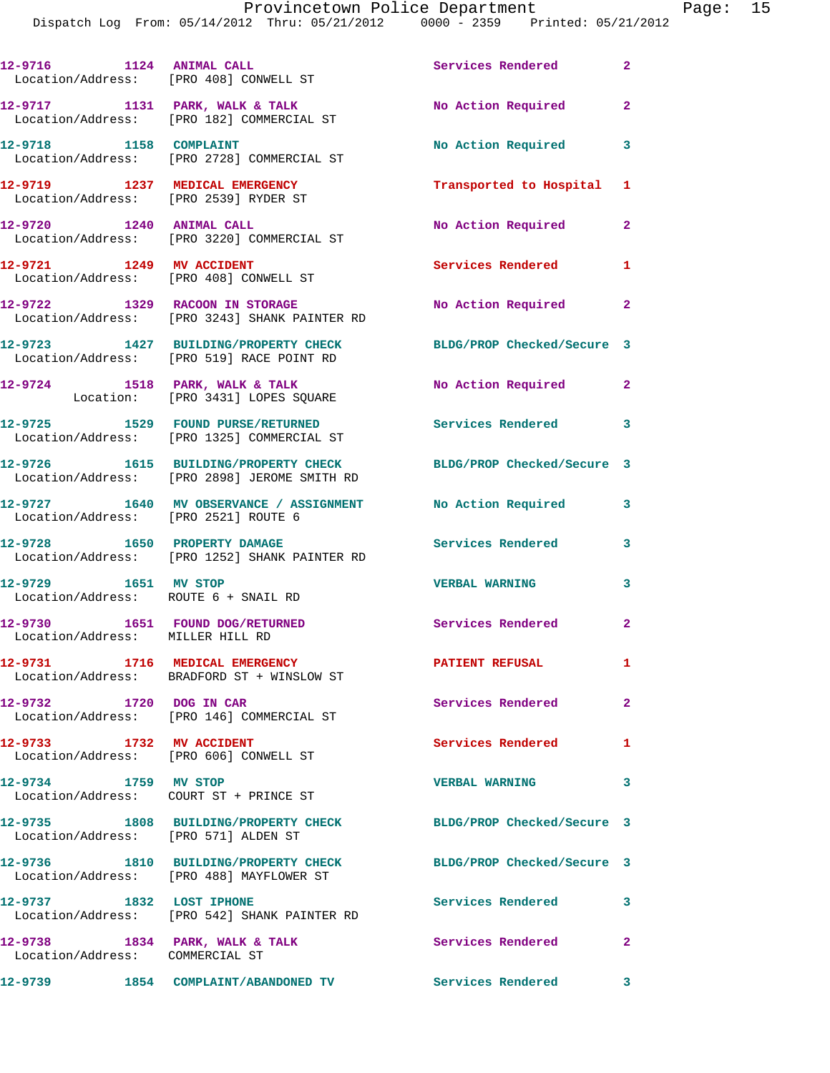Dispatch Log From: 05/14/2012 Thru: 05/21/2012 0000 - 2359 Printed: 05/21/2012

| 12-9716 1124 ANIMAL CALL<br>Location/Address: [PRO 408] CONWELL ST |                                                                                                                 | Services Rendered          | $\overline{2}$          |
|--------------------------------------------------------------------|-----------------------------------------------------------------------------------------------------------------|----------------------------|-------------------------|
|                                                                    | 12-9717 1131 PARK, WALK & TALK<br>Location/Address: [PRO 182] COMMERCIAL ST                                     | No Action Required 2       |                         |
|                                                                    | 12-9718 1158 COMPLAINT<br>Location/Address: [PRO 2728] COMMERCIAL ST                                            | No Action Required         | $\overline{\mathbf{3}}$ |
|                                                                    | 12-9719 1237 MEDICAL EMERGENCY<br>Location/Address: [PRO 2539] RYDER ST                                         | Transported to Hospital 1  |                         |
| 12-9720 1240 ANIMAL CALL                                           | Location/Address: [PRO 3220] COMMERCIAL ST                                                                      | No Action Required         | $\mathbf{2}$            |
| 12-9721 1249 MV ACCIDENT                                           | Location/Address: [PRO 408] CONWELL ST                                                                          | Services Rendered 1        |                         |
|                                                                    | 12-9722 1329 RACOON IN STORAGE<br>Location/Address: [PRO 3243] SHANK PAINTER RD                                 | No Action Required         | $\mathbf{2}$            |
|                                                                    | 12-9723 1427 BUILDING/PROPERTY CHECK<br>Location/Address: [PRO 519] RACE POINT RD                               | BLDG/PROP Checked/Secure 3 |                         |
|                                                                    | 12-9724 1518 PARK, WALK & TALK<br>Location: [PRO 3431] LOPES SQUARE                                             | No Action Required 2       |                         |
|                                                                    | 12-9725 1529 FOUND PURSE/RETURNED<br>Location/Address: [PRO 1325] COMMERCIAL ST                                 | Services Rendered 3        |                         |
|                                                                    | 12-9726 1615 BUILDING/PROPERTY CHECK BLDG/PROP Checked/Secure 3<br>Location/Address: [PRO 2898] JEROME SMITH RD |                            |                         |
|                                                                    | 12-9727 1640 MV OBSERVANCE / ASSIGNMENT<br>Location/Address: [PRO 2521] ROUTE 6                                 | No Action Required 3       |                         |
|                                                                    | 12-9728 1650 PROPERTY DAMAGE<br>Location/Address: [PRO 1252] SHANK PAINTER RD                                   | <b>Services Rendered</b> 3 |                         |
| 12-9729 1651 MV STOP<br>Location/Address: ROUTE 6 + SNAIL RD       |                                                                                                                 | <b>VERBAL WARNING</b>      | 3                       |
| 12-9730<br>Location/Address: MILLER HILL RD                        | 1651 FOUND DOG/RETURNED                                                                                         | Services Rendered 2        |                         |
|                                                                    | 12-9731 1716 MEDICAL EMERGENCY<br>Location/Address: BRADFORD ST + WINSLOW ST                                    | <b>PATIENT REFUSAL</b>     | $\mathbf{1}$            |
| 12-9732 1720 DOG IN CAR                                            | Location/Address: [PRO 146] COMMERCIAL ST                                                                       | Services Rendered          | $\mathbf{2}$            |
| 12-9733 1732 MV ACCIDENT                                           | Location/Address: [PRO 606] CONWELL ST                                                                          | <b>Services Rendered</b>   | 1                       |
| 12-9734 1759 MV STOP                                               | Location/Address: COURT ST + PRINCE ST                                                                          | <b>VERBAL WARNING</b>      | $\overline{\mathbf{3}}$ |
| Location/Address: [PRO 571] ALDEN ST                               | 12-9735 1808 BUILDING/PROPERTY CHECK                                                                            | BLDG/PROP Checked/Secure 3 |                         |
|                                                                    | 12-9736 1810 BUILDING/PROPERTY CHECK<br>Location/Address: [PRO 488] MAYFLOWER ST                                | BLDG/PROP Checked/Secure 3 |                         |
| 12-9737 1832 LOST IPHONE                                           | Location/Address: [PRO 542] SHANK PAINTER RD                                                                    | Services Rendered          | $\overline{\mathbf{3}}$ |
| 12-9738 1834 PARK, WALK & TALK<br>Location/Address: COMMERCIAL ST  |                                                                                                                 | Services Rendered 2        |                         |
|                                                                    | 12-9739 1854 COMPLAINT/ABANDONED TV Services Rendered 3                                                         |                            |                         |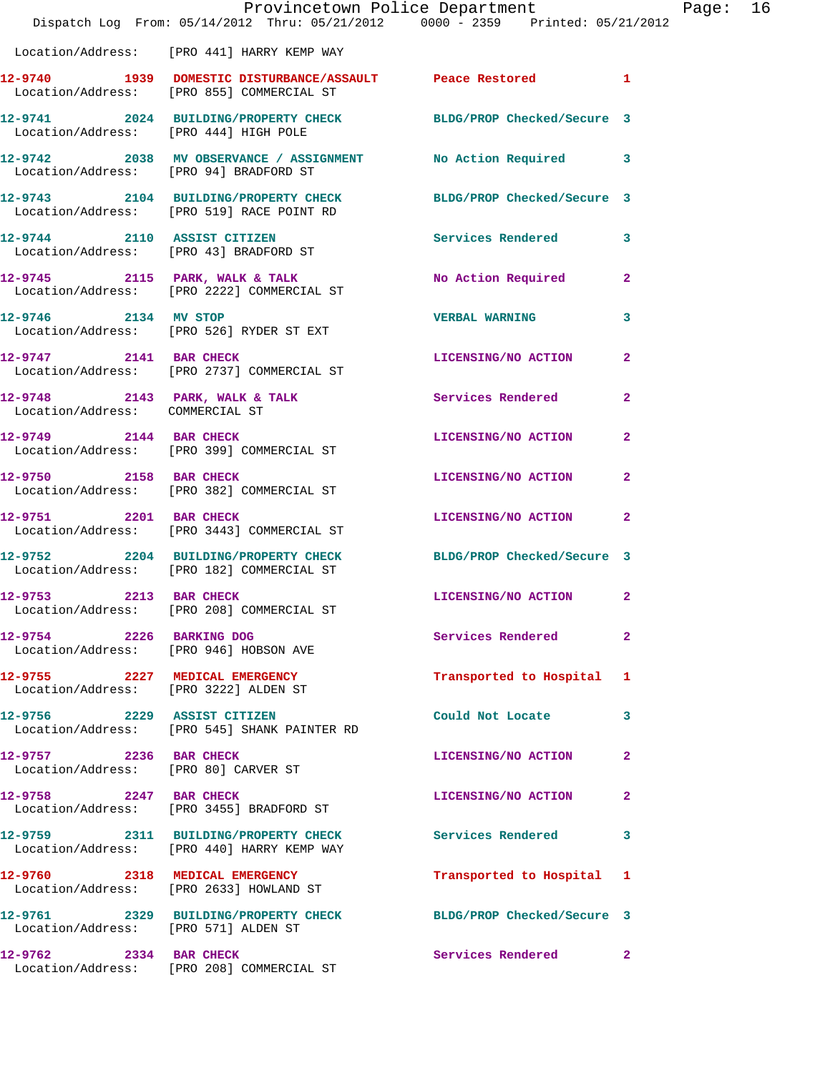|                                                                         | Provincetown Police Department<br>Dispatch Log From: 05/14/2012 Thru: 05/21/2012 0000 - 2359 Printed: 05/21/2012 |                            |                |
|-------------------------------------------------------------------------|------------------------------------------------------------------------------------------------------------------|----------------------------|----------------|
|                                                                         | Location/Address: [PRO 441] HARRY KEMP WAY                                                                       |                            |                |
|                                                                         | 12-9740 1939 DOMESTIC DISTURBANCE/ASSAULT Peace Restored<br>Location/Address: [PRO 855] COMMERCIAL ST            |                            | 1              |
| Location/Address: [PRO 444] HIGH POLE                                   | 12-9741 2024 BUILDING/PROPERTY CHECK BLDG/PROP Checked/Secure 3                                                  |                            |                |
|                                                                         |                                                                                                                  |                            | 3              |
|                                                                         | 12-9743 2104 BUILDING/PROPERTY CHECK BLDG/PROP Checked/Secure 3<br>Location/Address: [PRO 519] RACE POINT RD     |                            |                |
|                                                                         | 12-9744 2110 ASSIST CITIZEN<br>Location/Address: [PRO 43] BRADFORD ST                                            | <b>Services Rendered</b>   | 3              |
|                                                                         | 12-9745 2115 PARK, WALK & TALK<br>Location/Address: [PRO 2222] COMMERCIAL ST                                     | No Action Required         | 2              |
| 12-9746 2134 MV STOP                                                    | Location/Address: [PRO 526] RYDER ST EXT                                                                         | <b>VERBAL WARNING</b>      | 3              |
|                                                                         | 12-9747 2141 BAR CHECK<br>Location/Address: [PRO 2737] COMMERCIAL ST                                             | LICENSING/NO ACTION        | $\mathbf{2}$   |
| Location/Address: COMMERCIAL ST                                         | $12-9748$ 2143 PARK, WALK & TALK                                                                                 | <b>Services Rendered</b>   | $\overline{a}$ |
|                                                                         | 12-9749 2144 BAR CHECK<br>Location/Address: [PRO 399] COMMERCIAL ST                                              | LICENSING/NO ACTION        | $\overline{a}$ |
| 12-9750 2158 BAR CHECK                                                  | Location/Address: [PRO 382] COMMERCIAL ST                                                                        | LICENSING/NO ACTION        | $\overline{a}$ |
|                                                                         | 12-9751 2201 BAR CHECK<br>Location/Address: [PRO 3443] COMMERCIAL ST                                             | LICENSING/NO ACTION        | 2              |
|                                                                         | 12-9752 2204 BUILDING/PROPERTY CHECK<br>Location/Address: [PRO 182] COMMERCIAL ST                                | BLDG/PROP Checked/Secure 3 |                |
| 12-9753 2213 BAR CHECK                                                  | Location/Address: [PRO 208] COMMERCIAL ST                                                                        | LICENSING/NO ACTION        | $\mathbf{2}$   |
| 12-9754 2226 BARKING DOG                                                | Location/Address: [PRO 946] HOBSON AVE                                                                           | Services Rendered          | $\overline{a}$ |
| 12-9755 2227 MEDICAL EMERGENCY<br>Location/Address: [PRO 3222] ALDEN ST |                                                                                                                  | Transported to Hospital    | 1              |
| 12-9756 2229 ASSIST CITIZEN                                             | Location/Address: [PRO 545] SHANK PAINTER RD                                                                     | Could Not Locate           | 3              |
| 12-9757 2236 BAR CHECK<br>Location/Address: [PRO 80] CARVER ST          |                                                                                                                  | LICENSING/NO ACTION        | 2              |
| 12-9758 2247 BAR CHECK                                                  | Location/Address: [PRO 3455] BRADFORD ST                                                                         | LICENSING/NO ACTION        | 2              |
|                                                                         | 12-9759 2311 BUILDING/PROPERTY CHECK Services Rendered<br>Location/Address: [PRO 440] HARRY KEMP WAY             |                            | 3              |
|                                                                         | 12-9760 2318 MEDICAL EMERGENCY<br>Location/Address: [PRO 2633] HOWLAND ST                                        | Transported to Hospital    | 1              |
| Location/Address: [PRO 571] ALDEN ST                                    | 12-9761 2329 BUILDING/PROPERTY CHECK                                                                             | BLDG/PROP Checked/Secure 3 |                |
| 12-9762 2334 BAR CHECK                                                  | Location/Address: [PRO 208] COMMERCIAL ST                                                                        | Services Rendered          | $\overline{2}$ |

Page: 16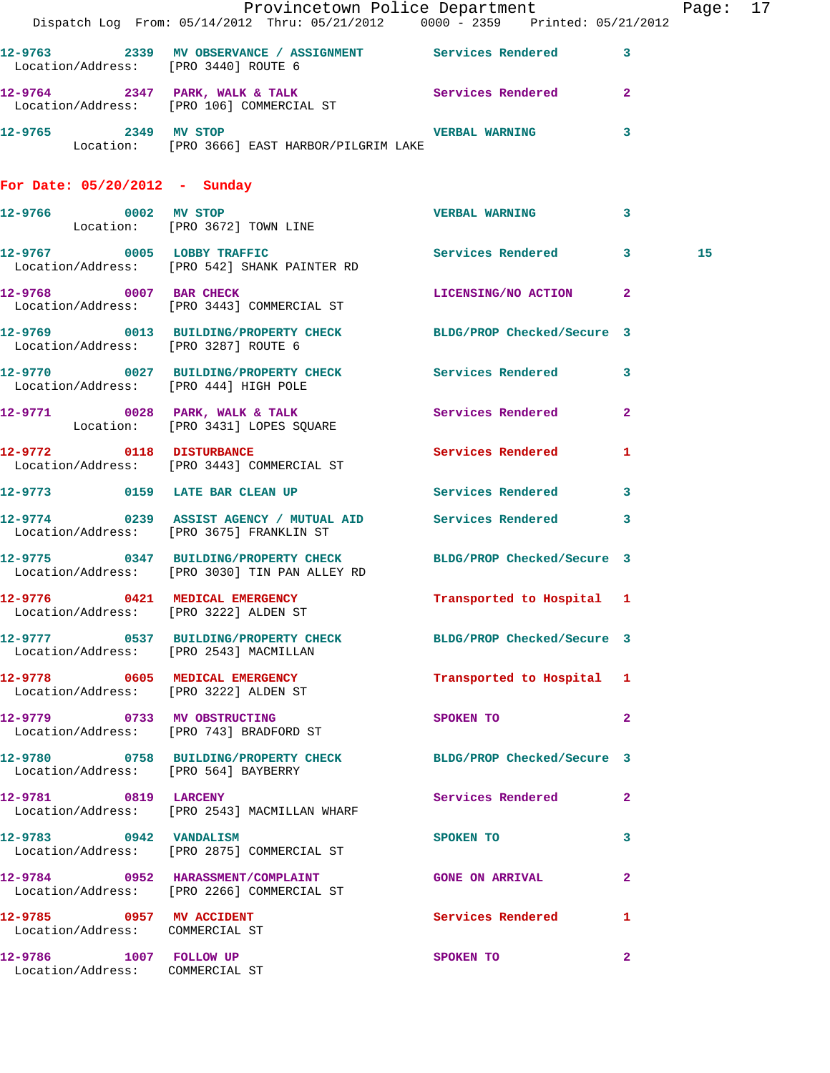|                                                             | Provincetown Police Department Page: 17<br>Dispatch Log From: 05/14/2012 Thru: 05/21/2012 0000 - 2359 Printed: 05/21/2012 |                           |              |    |  |
|-------------------------------------------------------------|---------------------------------------------------------------------------------------------------------------------------|---------------------------|--------------|----|--|
| Location/Address: [PRO 3440] ROUTE 6                        | 12-9763 2339 MV OBSERVANCE / ASSIGNMENT Services Rendered 3                                                               |                           |              |    |  |
|                                                             | 12-9764 2347 PARK, WALK & TALK Services Rendered<br>Location/Address: [PRO 106] COMMERCIAL ST                             |                           | $\mathbf{2}$ |    |  |
|                                                             | 12-9765 2349 MV STOP 2008 2009 2349 MV STOP<br>Location: [PRO 3666] EAST HARBOR/PILGRIM LAKE                              |                           | 3            |    |  |
| For Date: $05/20/2012$ - Sunday                             |                                                                                                                           |                           |              |    |  |
|                                                             | 12-9766      0002   MV STOP<br>Location:   [PRO 3672] TOWN LINE                                                           | VERBAL WARNING 3          |              |    |  |
|                                                             | 12-9767 0005 LOBBY TRAFFIC Services Rendered 3<br>Location/Address: [PRO 542] SHANK PAINTER RD                            |                           |              | 15 |  |
|                                                             | 12-9768 0007 BAR CHECK<br>Location/Address: [PRO 3443] COMMERCIAL ST                                                      | LICENSING/NO ACTION 2     |              |    |  |
| Location/Address: [PRO 3287] ROUTE 6                        | 12-9769 0013 BUILDING/PROPERTY CHECK BLDG/PROP Checked/Secure 3                                                           |                           |              |    |  |
| Location/Address: [PRO 444] HIGH POLE                       | 12-9770 0027 BUILDING/PROPERTY CHECK Services Rendered 3                                                                  |                           |              |    |  |
|                                                             | 12-9771 0028 PARK, WALK & TALK 3 Services Rendered<br>Location: [PRO 3431] LOPES SQUARE                                   |                           | $\mathbf{2}$ |    |  |
|                                                             | 12-9772 0118 DISTURBANCE<br>Location/Address: [PRO 3443] COMMERCIAL ST                                                    | Services Rendered 1       |              |    |  |
|                                                             | 12-9773 0159 LATE BAR CLEAN UP Services Rendered 3                                                                        |                           |              |    |  |
|                                                             | 12-9774 0239 ASSIST AGENCY / MUTUAL AID Services Rendered<br>Location/Address: [PRO 3675] FRANKLIN ST                     |                           | $\mathbf{3}$ |    |  |
|                                                             | 12-9775 0347 BUILDING/PROPERTY CHECK BLDG/PROP Checked/Secure 3<br>Location/Address: [PRO 3030] TIN PAN ALLEY RD          |                           |              |    |  |
| Location/Address: [PRO 3222] ALDEN ST                       | 12-9776 0421 MEDICAL EMERGENCY                                                                                            | Transported to Hospital 1 |              |    |  |
| Location/Address: [PRO 2543] MACMILLAN                      | 12-9777 0537 BUILDING/PROPERTY CHECK BLDG/PROP Checked/Secure 3                                                           |                           |              |    |  |
| Location/Address: [PRO 3222] ALDEN ST                       | 12-9778 0605 MEDICAL EMERGENCY                                                                                            | Transported to Hospital 1 |              |    |  |
|                                                             | 12-9779 0733 MV OBSTRUCTING<br>Location/Address: [PRO 743] BRADFORD ST                                                    | SPOKEN TO                 | $\mathbf{2}$ |    |  |
| Location/Address: [PRO 564] BAYBERRY                        | 12-9780 0758 BUILDING/PROPERTY CHECK BLDG/PROP Checked/Secure 3                                                           |                           |              |    |  |
| 12-9781 0819 LARCENY                                        | Location/Address: [PRO 2543] MACMILLAN WHARF                                                                              | Services Rendered         | 2            |    |  |
|                                                             | 12-9783 0942 VANDALISM<br>Location/Address: [PRO 2875] COMMERCIAL ST                                                      | SPOKEN TO                 | 3            |    |  |
|                                                             | 12-9784 0952 HARASSMENT/COMPLAINT<br>Location/Address: [PRO 2266] COMMERCIAL ST                                           | <b>GONE ON ARRIVAL</b>    | 2            |    |  |
| 12-9785 0957 MV ACCIDENT<br>Location/Address: COMMERCIAL ST |                                                                                                                           | Services Rendered 1       |              |    |  |
| 12-9786 1007 FOLLOW UP<br>Location/Address: COMMERCIAL ST   |                                                                                                                           | SPOKEN TO                 | $\mathbf{2}$ |    |  |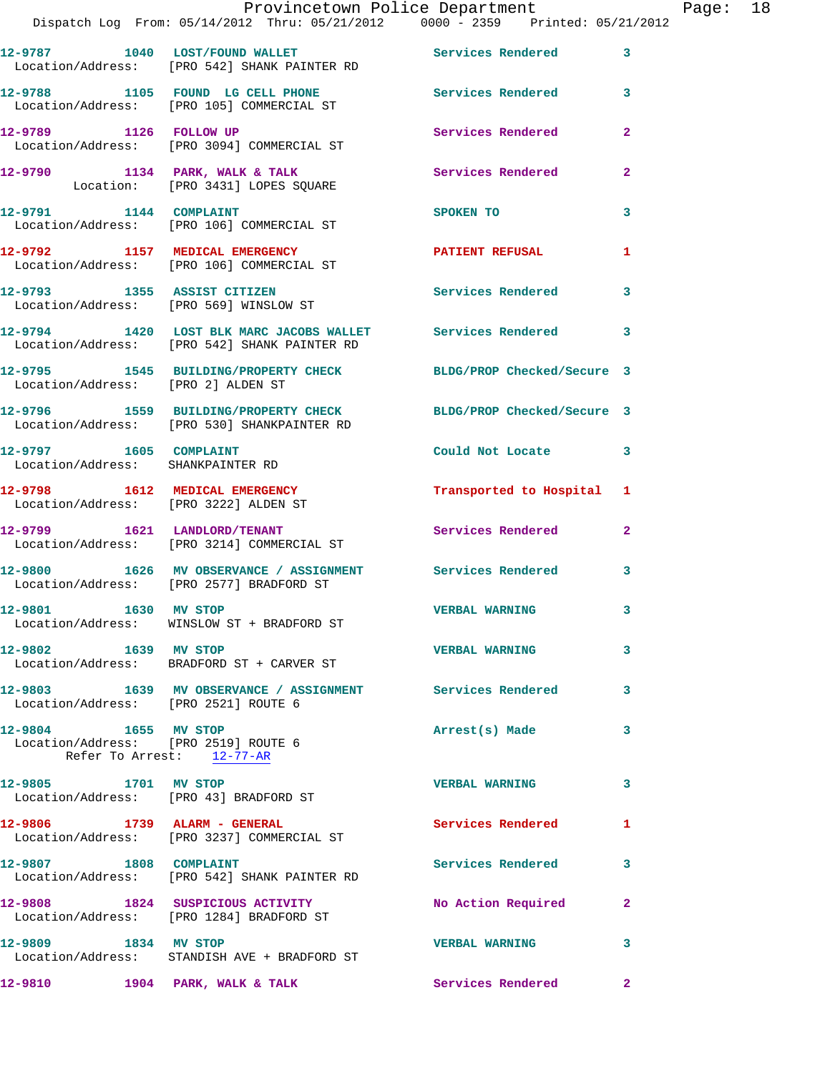|                                                              | Provincetown Police Department                                                                                 |                          |                |
|--------------------------------------------------------------|----------------------------------------------------------------------------------------------------------------|--------------------------|----------------|
|                                                              | Dispatch Log From: 05/14/2012 Thru: 05/21/2012 0000 - 2359 Printed: 05/21/2012                                 |                          |                |
|                                                              | 12-9787 1040 LOST/FOUND WALLET Services Rendered<br>Location/Address: [PRO 542] SHANK PAINTER RD               |                          | 3              |
|                                                              | 12-9788 1105 FOUND LG CELL PHONE 5ervices Rendered<br>Location/Address: [PRO 105] COMMERCIAL ST                |                          | 3              |
|                                                              | 12-9789 1126 FOLLOW UP<br>Location/Address: [PRO 3094] COMMERCIAL ST                                           | <b>Services Rendered</b> | $\mathbf{2}$   |
|                                                              | 12-9790 1134 PARK, WALK & TALK 1988 Services Rendered<br>Location: [PRO 3431] LOPES SQUARE                     |                          | $\mathbf{2}$   |
|                                                              | 12-9791 1144 COMPLAINT<br>Location/Address: [PRO 106] COMMERCIAL ST                                            | SPOKEN TO                | 3              |
|                                                              | 12-9792 1157 MEDICAL EMERGENCY<br>Location/Address: [PRO 106] COMMERCIAL ST                                    | <b>PATIENT REFUSAL</b>   | 1              |
|                                                              | 12-9793 1355 ASSIST CITIZEN<br>Location/Address: [PRO 569] WINSLOW ST                                          | <b>Services Rendered</b> | 3              |
|                                                              | 12-9794 1420 LOST BLK MARC JACOBS WALLET Services Rendered<br>Location/Address: [PRO 542] SHANK PAINTER RD     |                          | 3              |
| Location/Address: [PRO 2] ALDEN ST                           | 12-9795 1545 BUILDING/PROPERTY CHECK BLDG/PROP Checked/Secure 3                                                |                          |                |
|                                                              | 12-9796 1559 BUILDING/PROPERTY CHECK BLDG/PROP Checked/Secure 3<br>Location/Address: [PRO 530] SHANKPAINTER RD |                          |                |
| 12-9797 1605 COMPLAINT<br>Location/Address: SHANKPAINTER RD  |                                                                                                                | Could Not Locate         | 3              |
| Location/Address: [PRO 3222] ALDEN ST                        | 12-9798 1612 MEDICAL EMERGENCY                                                                                 | Transported to Hospital  | 1              |
|                                                              | 12-9799 1621 LANDLORD/TENANT<br>Location/Address: [PRO 3214] COMMERCIAL ST                                     | Services Rendered        | $\overline{2}$ |
|                                                              | 12-9800 1626 MV OBSERVANCE / ASSIGNMENT Services Rendered<br>Location/Address: [PRO 2577] BRADFORD ST          |                          | 3              |
| 12-9801 1630 MV STOP                                         | Location/Address: WINSLOW ST + BRADFORD ST                                                                     | <b>VERBAL WARNING</b>    | 3              |
| 12-9802 1639 MV STOP                                         | Location/Address: BRADFORD ST + CARVER ST                                                                      | <b>VERBAL WARNING</b>    | 3              |
| Location/Address: [PRO 2521] ROUTE 6                         | 12-9803 1639 MV OBSERVANCE / ASSIGNMENT Services Rendered                                                      |                          | 3              |
| 12-9804 1655 MV STOP<br>Location/Address: [PRO 2519] ROUTE 6 | Refer To Arrest: 12-77-AR                                                                                      | Arrest(s) Made           | 3              |
| 12-9805 1701 MV STOP                                         | Location/Address: [PRO 43] BRADFORD ST                                                                         | <b>VERBAL WARNING</b>    | 3              |
|                                                              | 12-9806 1739 ALARM - GENERAL<br>Location/Address: [PRO 3237] COMMERCIAL ST                                     | Services Rendered        | 1              |
| 12-9807 1808 COMPLAINT                                       | Location/Address: [PRO 542] SHANK PAINTER RD                                                                   | Services Rendered        | 3              |
|                                                              | 12-9808 1824 SUSPICIOUS ACTIVITY<br>Location/Address: [PRO 1284] BRADFORD ST                                   | No Action Required       | $\mathbf{2}$   |
| 12-9809 1834 MV STOP                                         | Location/Address: STANDISH AVE + BRADFORD ST                                                                   | <b>VERBAL WARNING</b>    | 3              |
| 12-9810                                                      | 1904 PARK, WALK & TALK                                                                                         | <b>Services Rendered</b> | $\mathbf{2}$   |

Page: 18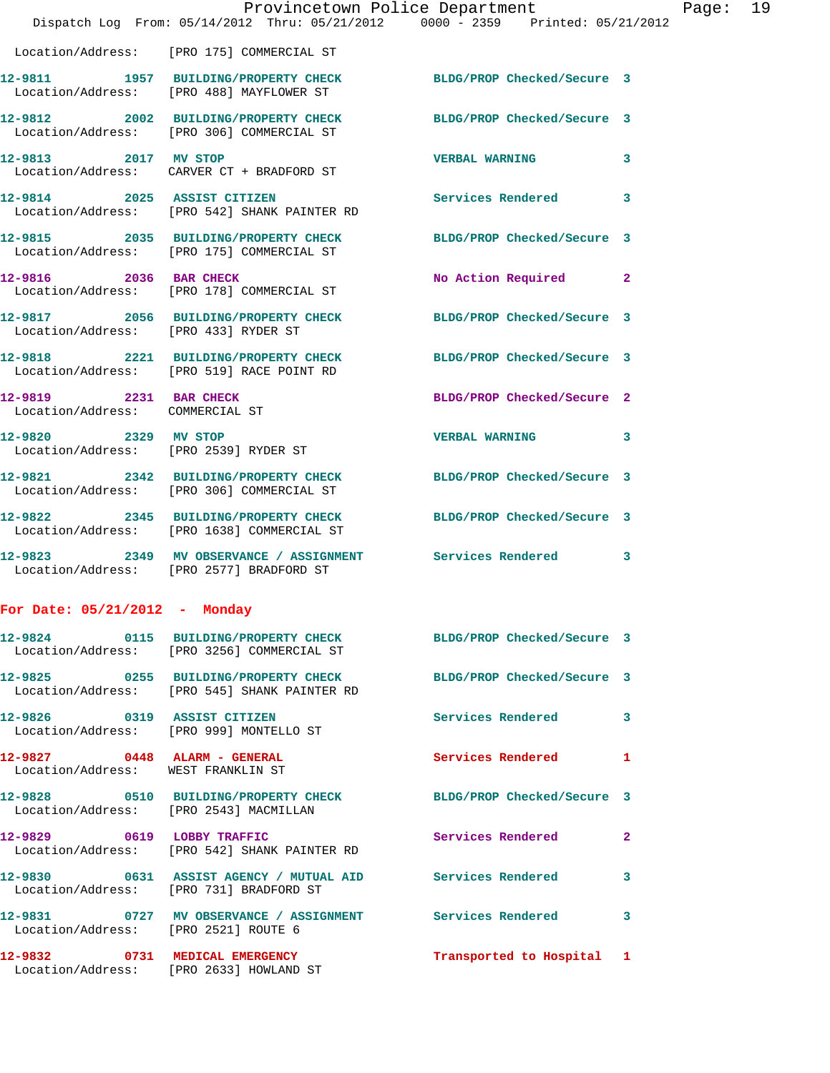|                                                                    | Provincetown Police Department<br>Dispatch Log From: 05/14/2012 Thru: 05/21/2012 0000 - 2359 Printed: 05/21/2012 |                            |   |
|--------------------------------------------------------------------|------------------------------------------------------------------------------------------------------------------|----------------------------|---|
|                                                                    | Location/Address: [PRO 175] COMMERCIAL ST                                                                        |                            |   |
|                                                                    | 12-9811 1957 BUILDING/PROPERTY CHECK BLDG/PROP Checked/Secure 3<br>Location/Address: [PRO 488] MAYFLOWER ST      |                            |   |
|                                                                    | 12-9812 2002 BUILDING/PROPERTY CHECK BLDG/PROP Checked/Secure 3<br>Location/Address: [PRO 306] COMMERCIAL ST     |                            |   |
| 12-9813 2017 MV STOP                                               | Location/Address: CARVER CT + BRADFORD ST                                                                        | <b>VERBAL WARNING</b>      | 3 |
| 12-9814 2025 ASSIST CITIZEN                                        | Location/Address: [PRO 542] SHANK PAINTER RD                                                                     | Services Rendered          | 3 |
|                                                                    | 12-9815 2035 BUILDING/PROPERTY CHECK<br>Location/Address: [PRO 175] COMMERCIAL ST                                | BLDG/PROP Checked/Secure 3 |   |
| 12-9816 2036 BAR CHECK                                             | Location/Address: [PRO 178] COMMERCIAL ST                                                                        | No Action Required         | 2 |
| Location/Address: [PRO 433] RYDER ST                               | 12-9817 2056 BUILDING/PROPERTY CHECK                                                                             | BLDG/PROP Checked/Secure 3 |   |
|                                                                    | 12-9818 2221 BUILDING/PROPERTY CHECK BLDG/PROP Checked/Secure 3<br>Location/Address: [PRO 519] RACE POINT RD     |                            |   |
| 12-9819 2231 BAR CHECK<br>Location/Address: COMMERCIAL ST          |                                                                                                                  | BLDG/PROP Checked/Secure 2 |   |
| 12-9820 2329 MV STOP                                               | Location/Address: [PRO 2539] RYDER ST                                                                            | <b>VERBAL WARNING</b>      | 3 |
|                                                                    | 12-9821 2342 BUILDING/PROPERTY CHECK BLDG/PROP Checked/Secure 3<br>Location/Address: [PRO 306] COMMERCIAL ST     |                            |   |
|                                                                    | 12-9822 2345 BUILDING/PROPERTY CHECK<br>Location/Address: [PRO 1638] COMMERCIAL ST                               | BLDG/PROP Checked/Secure 3 |   |
|                                                                    | 12-9823 2349 MV OBSERVANCE / ASSIGNMENT Services Rendered<br>Location/Address: [PRO 2577] BRADFORD ST            |                            | 3 |
| For Date: $05/21/2012$ - Monday                                    |                                                                                                                  |                            |   |
|                                                                    | 12-9824 0115 BUILDING/PROPERTY CHECK BLDG/PROP Checked/Secure 3<br>Location/Address: [PRO 3256] COMMERCIAL ST    |                            |   |
|                                                                    | Location/Address: [PRO 545] SHANK PAINTER RD                                                                     |                            |   |
| 12-9826 0319 ASSIST CITIZEN                                        | Location/Address: [PRO 999] MONTELLO ST                                                                          | Services Rendered          | 3 |
| 12-9827 0448 ALARM - GENERAL<br>Location/Address: WEST FRANKLIN ST |                                                                                                                  | Services Rendered          | 1 |
| Location/Address: [PRO 2543] MACMILLAN                             | 12-9828 0510 BUILDING/PROPERTY CHECK                                                                             | BLDG/PROP Checked/Secure 3 |   |
|                                                                    | 12-9829 0619 LOBBY TRAFFIC<br>Location/Address: [PRO 542] SHANK PAINTER RD                                       | <b>Services Rendered</b>   | 2 |
| Location/Address: [PRO 731] BRADFORD ST                            |                                                                                                                  |                            | 3 |
| Location/Address: [PRO 2521] ROUTE 6                               | 12-9831       0727   MV OBSERVANCE / ASSIGNMENT      Services Rendered                                           |                            | 3 |
| 12-9832                                                            | 0731 MEDICAL EMERGENCY                                                                                           | Transported to Hospital 1  |   |

Location/Address: [PRO 2633] HOWLAND ST

Page: 19<br>2012